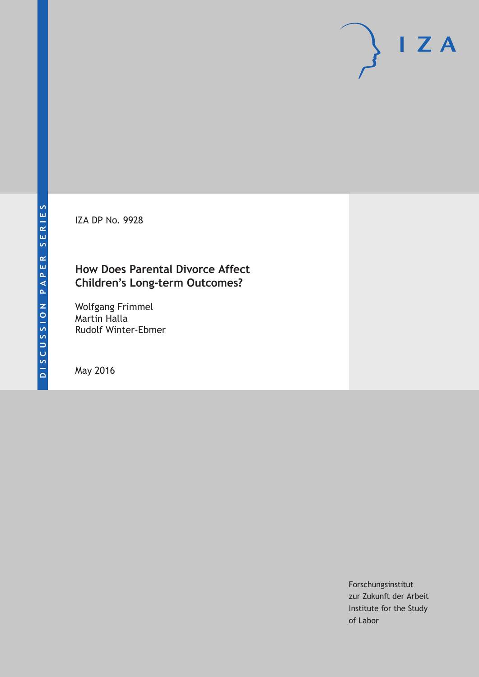IZA DP No. 9928

## **How Does Parental Divorce Affect Children's Long-term Outcomes?**

Wolfgang Frimmel Martin Halla Rudolf Winter-Ebmer

May 2016

Forschungsinstitut zur Zukunft der Arbeit Institute for the Study of Labor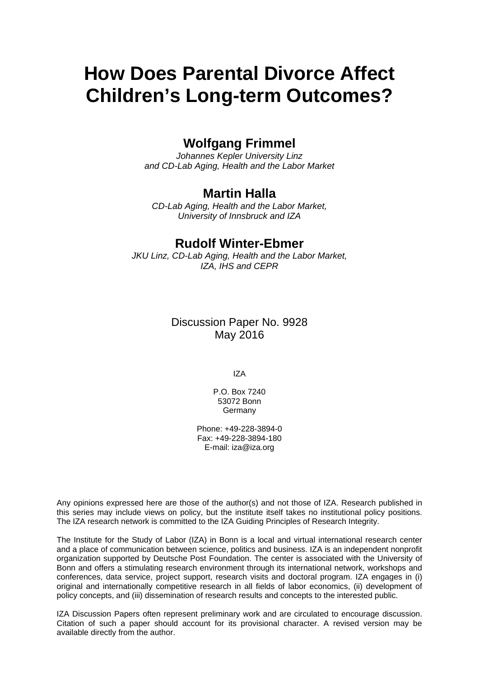# **How Does Parental Divorce Affect Children's Long-term Outcomes?**

### **Wolfgang Frimmel**

*Johannes Kepler University Linz and CD-Lab Aging, Health and the Labor Market* 

#### **Martin Halla**

*CD-Lab Aging, Health and the Labor Market, University of Innsbruck and IZA* 

#### **Rudolf Winter-Ebmer**

*JKU Linz, CD-Lab Aging, Health and the Labor Market, IZA, IHS and CEPR*

> Discussion Paper No. 9928 May 2016

> > IZA

P.O. Box 7240 53072 Bonn Germany

Phone: +49-228-3894-0 Fax: +49-228-3894-180 E-mail: iza@iza.org

Any opinions expressed here are those of the author(s) and not those of IZA. Research published in this series may include views on policy, but the institute itself takes no institutional policy positions. The IZA research network is committed to the IZA Guiding Principles of Research Integrity.

The Institute for the Study of Labor (IZA) in Bonn is a local and virtual international research center and a place of communication between science, politics and business. IZA is an independent nonprofit organization supported by Deutsche Post Foundation. The center is associated with the University of Bonn and offers a stimulating research environment through its international network, workshops and conferences, data service, project support, research visits and doctoral program. IZA engages in (i) original and internationally competitive research in all fields of labor economics, (ii) development of policy concepts, and (iii) dissemination of research results and concepts to the interested public.

IZA Discussion Papers often represent preliminary work and are circulated to encourage discussion. Citation of such a paper should account for its provisional character. A revised version may be available directly from the author.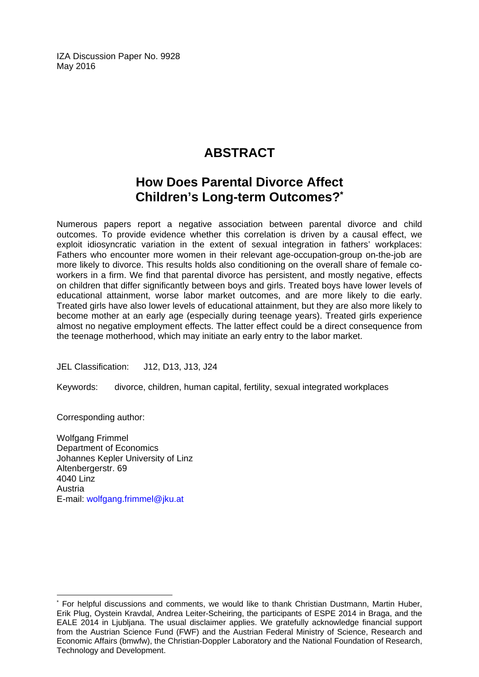IZA Discussion Paper No. 9928 May 2016

# **ABSTRACT**

## **How Does Parental Divorce Affect Children's Long-term Outcomes?\***

Numerous papers report a negative association between parental divorce and child outcomes. To provide evidence whether this correlation is driven by a causal effect, we exploit idiosyncratic variation in the extent of sexual integration in fathers' workplaces: Fathers who encounter more women in their relevant age-occupation-group on-the-job are more likely to divorce. This results holds also conditioning on the overall share of female coworkers in a firm. We find that parental divorce has persistent, and mostly negative, effects on children that differ significantly between boys and girls. Treated boys have lower levels of educational attainment, worse labor market outcomes, and are more likely to die early. Treated girls have also lower levels of educational attainment, but they are also more likely to become mother at an early age (especially during teenage years). Treated girls experience almost no negative employment effects. The latter effect could be a direct consequence from the teenage motherhood, which may initiate an early entry to the labor market.

JEL Classification: J12, D13, J13, J24

Keywords: divorce, children, human capital, fertility, sexual integrated workplaces

Corresponding author:

 $\overline{a}$ 

Wolfgang Frimmel Department of Economics Johannes Kepler University of Linz Altenbergerstr. 69 4040 Linz Austria E-mail: wolfgang.frimmel@jku.at

<sup>\*</sup> For helpful discussions and comments, we would like to thank Christian Dustmann, Martin Huber, Erik Plug, Oystein Kravdal, Andrea Leiter-Scheiring, the participants of ESPE 2014 in Braga, and the EALE 2014 in Ljubljana. The usual disclaimer applies. We gratefully acknowledge financial support from the Austrian Science Fund (FWF) and the Austrian Federal Ministry of Science, Research and Economic Affairs (bmwfw), the Christian-Doppler Laboratory and the National Foundation of Research, Technology and Development.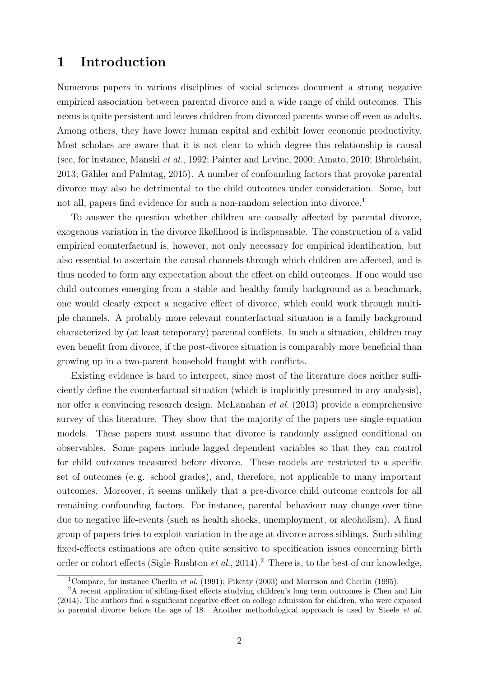#### 1 Introduction

Numerous papers in various disciplines of social sciences document a strong negative empirical association between parental divorce and a wide range of child outcomes. This nexus is quite persistent and leaves children from divorced parents worse off even as adults. Among others, they have lower human capital and exhibit lower economic productivity. Most scholars are aware that it is not clear to which degree this relationship is causal (see, for instance, Manski *et al.*, 1992; Painter and Levine, 2000; Amato, 2010; Bhrolcháin, 2013; Gähler and Palmtag, 2015). A number of confounding factors that provoke parental divorce may also be detrimental to the child outcomes under consideration. Some, but not all, papers find evidence for such a non-random selection into divorce.<sup>1</sup>

To answer the question whether children are causally affected by parental divorce, exogenous variation in the divorce likelihood is indispensable. The construction of a valid empirical counterfactual is, however, not only necessary for empirical identification, but also essential to ascertain the causal channels through which children are affected, and is thus needed to form any expectation about the effect on child outcomes. If one would use child outcomes emerging from a stable and healthy family background as a benchmark, one would clearly expect a negative effect of divorce, which could work through multiple channels. A probably more relevant counterfactual situation is a family background characterized by (at least temporary) parental conflicts. In such a situation, children may even benefit from divorce, if the post-divorce situation is comparably more beneficial than growing up in a two-parent household fraught with conflicts.

Existing evidence is hard to interpret, since most of the literature does neither sufficiently define the counterfactual situation (which is implicitly presumed in any analysis), nor offer a convincing research design. McLanahan *et al.* (2013) provide a comprehensive survey of this literature. They show that the majority of the papers use single-equation models. These papers must assume that divorce is randomly assigned conditional on observables. Some papers include lagged dependent variables so that they can control for child outcomes measured before divorce. These models are restricted to a specific set of outcomes (e. g. school grades), and, therefore, not applicable to many important outcomes. Moreover, it seems unlikely that a pre-divorce child outcome controls for all remaining confounding factors. For instance, parental behaviour may change over time due to negative life-events (such as health shocks, unemployment, or alcoholism). A final group of papers tries to exploit variation in the age at divorce across siblings. Such sibling fixed-effects estimations are often quite sensitive to specification issues concerning birth order or cohort effects (Sigle-Rushton *et al.*, 2014).<sup>2</sup> There is, to the best of our knowledge,

<sup>&</sup>lt;sup>1</sup>Compare, for instance Cherlin *et al.* (1991); Piketty (2003) and Morrison and Cherlin (1995).

<sup>2</sup>A recent application of sibling-fixed effects studying children's long term outcomes is Chen and Liu (2014). The authors find a significant negative effect on college admission for children, who were exposed to parental divorce before the age of 18. Another methodological approach is used by Steele et al.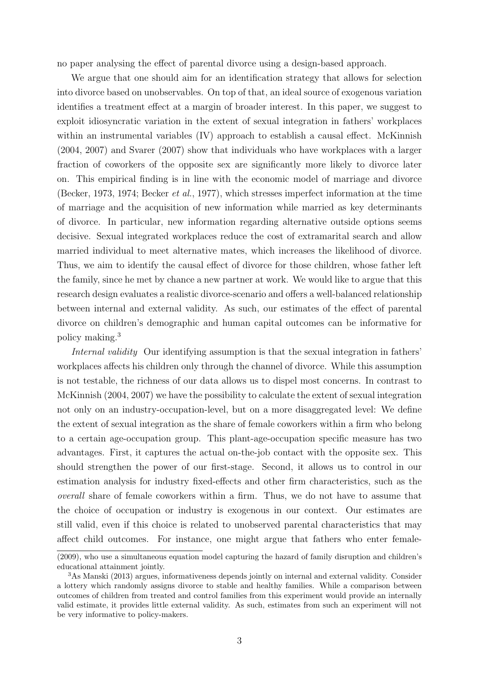no paper analysing the effect of parental divorce using a design-based approach.

We argue that one should aim for an identification strategy that allows for selection into divorce based on unobservables. On top of that, an ideal source of exogenous variation identifies a treatment effect at a margin of broader interest. In this paper, we suggest to exploit idiosyncratic variation in the extent of sexual integration in fathers' workplaces within an instrumental variables (IV) approach to establish a causal effect. McKinnish (2004, 2007) and Svarer (2007) show that individuals who have workplaces with a larger fraction of coworkers of the opposite sex are significantly more likely to divorce later on. This empirical finding is in line with the economic model of marriage and divorce (Becker, 1973, 1974; Becker et al., 1977), which stresses imperfect information at the time of marriage and the acquisition of new information while married as key determinants of divorce. In particular, new information regarding alternative outside options seems decisive. Sexual integrated workplaces reduce the cost of extramarital search and allow married individual to meet alternative mates, which increases the likelihood of divorce. Thus, we aim to identify the causal effect of divorce for those children, whose father left the family, since he met by chance a new partner at work. We would like to argue that this research design evaluates a realistic divorce-scenario and offers a well-balanced relationship between internal and external validity. As such, our estimates of the effect of parental divorce on children's demographic and human capital outcomes can be informative for policy making.<sup>3</sup>

Internal validity Our identifying assumption is that the sexual integration in fathers' workplaces affects his children only through the channel of divorce. While this assumption is not testable, the richness of our data allows us to dispel most concerns. In contrast to McKinnish (2004, 2007) we have the possibility to calculate the extent of sexual integration not only on an industry-occupation-level, but on a more disaggregated level: We define the extent of sexual integration as the share of female coworkers within a firm who belong to a certain age-occupation group. This plant-age-occupation specific measure has two advantages. First, it captures the actual on-the-job contact with the opposite sex. This should strengthen the power of our first-stage. Second, it allows us to control in our estimation analysis for industry fixed-effects and other firm characteristics, such as the overall share of female coworkers within a firm. Thus, we do not have to assume that the choice of occupation or industry is exogenous in our context. Our estimates are still valid, even if this choice is related to unobserved parental characteristics that may affect child outcomes. For instance, one might argue that fathers who enter female-

<sup>(2009),</sup> who use a simultaneous equation model capturing the hazard of family disruption and children's educational attainment jointly.

<sup>3</sup>As Manski (2013) argues, informativeness depends jointly on internal and external validity. Consider a lottery which randomly assigns divorce to stable and healthy families. While a comparison between outcomes of children from treated and control families from this experiment would provide an internally valid estimate, it provides little external validity. As such, estimates from such an experiment will not be very informative to policy-makers.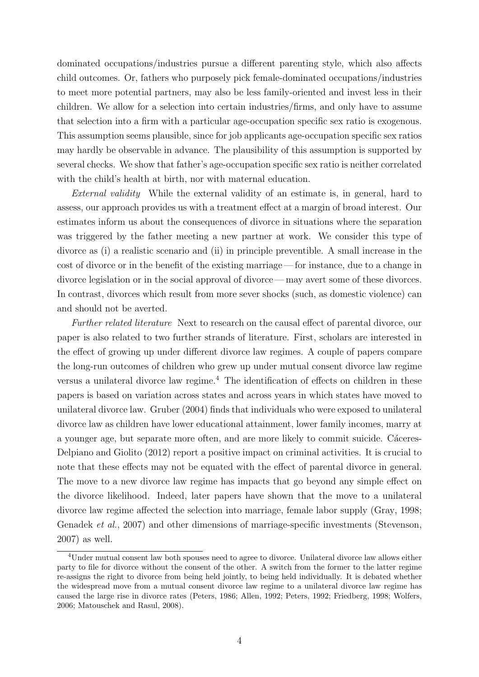dominated occupations/industries pursue a different parenting style, which also affects child outcomes. Or, fathers who purposely pick female-dominated occupations/industries to meet more potential partners, may also be less family-oriented and invest less in their children. We allow for a selection into certain industries/firms, and only have to assume that selection into a firm with a particular age-occupation specific sex ratio is exogenous. This assumption seems plausible, since for job applicants age-occupation specific sex ratios may hardly be observable in advance. The plausibility of this assumption is supported by several checks. We show that father's age-occupation specific sex ratio is neither correlated with the child's health at birth, nor with maternal education.

External validity While the external validity of an estimate is, in general, hard to assess, our approach provides us with a treatment effect at a margin of broad interest. Our estimates inform us about the consequences of divorce in situations where the separation was triggered by the father meeting a new partner at work. We consider this type of divorce as (i) a realistic scenario and (ii) in principle preventible. A small increase in the cost of divorce or in the benefit of the existing marriage— for instance, due to a change in divorce legislation or in the social approval of divorce— may avert some of these divorces. In contrast, divorces which result from more sever shocks (such, as domestic violence) can and should not be averted.

Further related literature Next to research on the causal effect of parental divorce, our paper is also related to two further strands of literature. First, scholars are interested in the effect of growing up under different divorce law regimes. A couple of papers compare the long-run outcomes of children who grew up under mutual consent divorce law regime versus a unilateral divorce law regime.<sup>4</sup> The identification of effects on children in these papers is based on variation across states and across years in which states have moved to unilateral divorce law. Gruber (2004) finds that individuals who were exposed to unilateral divorce law as children have lower educational attainment, lower family incomes, marry at a younger age, but separate more often, and are more likely to commit suicide. Cáceres-Delpiano and Giolito (2012) report a positive impact on criminal activities. It is crucial to note that these effects may not be equated with the effect of parental divorce in general. The move to a new divorce law regime has impacts that go beyond any simple effect on the divorce likelihood. Indeed, later papers have shown that the move to a unilateral divorce law regime affected the selection into marriage, female labor supply (Gray, 1998; Genadek et al., 2007) and other dimensions of marriage-specific investments (Stevenson, 2007) as well.

<sup>4</sup>Under mutual consent law both spouses need to agree to divorce. Unilateral divorce law allows either party to file for divorce without the consent of the other. A switch from the former to the latter regime re-assigns the right to divorce from being held jointly, to being held individually. It is debated whether the widespread move from a mutual consent divorce law regime to a unilateral divorce law regime has caused the large rise in divorce rates (Peters, 1986; Allen, 1992; Peters, 1992; Friedberg, 1998; Wolfers, 2006; Matouschek and Rasul, 2008).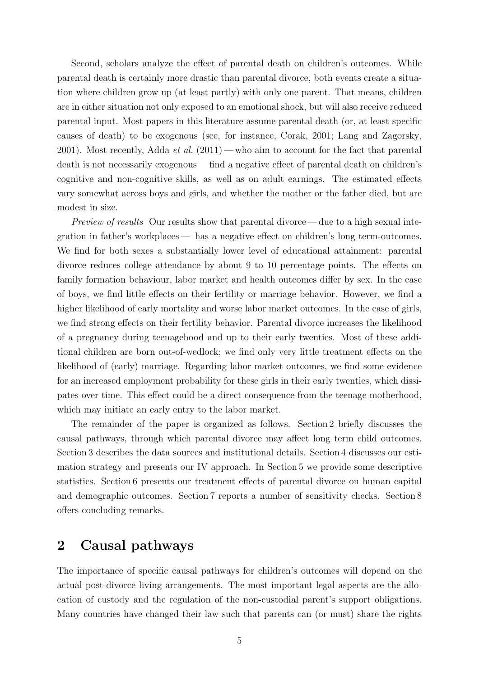Second, scholars analyze the effect of parental death on children's outcomes. While parental death is certainly more drastic than parental divorce, both events create a situation where children grow up (at least partly) with only one parent. That means, children are in either situation not only exposed to an emotional shock, but will also receive reduced parental input. Most papers in this literature assume parental death (or, at least specific causes of death) to be exogenous (see, for instance, Corak, 2001; Lang and Zagorsky, 2001). Most recently, Adda *et al.*  $(2011)$  — who aim to account for the fact that parental death is not necessarily exogenous — find a negative effect of parental death on children's cognitive and non-cognitive skills, as well as on adult earnings. The estimated effects vary somewhat across boys and girls, and whether the mother or the father died, but are modest in size.

Preview of results Our results show that parental divorce— due to a high sexual integration in father's workplaces— has a negative effect on children's long term-outcomes. We find for both sexes a substantially lower level of educational attainment: parental divorce reduces college attendance by about 9 to 10 percentage points. The effects on family formation behaviour, labor market and health outcomes differ by sex. In the case of boys, we find little effects on their fertility or marriage behavior. However, we find a higher likelihood of early mortality and worse labor market outcomes. In the case of girls, we find strong effects on their fertility behavior. Parental divorce increases the likelihood of a pregnancy during teenagehood and up to their early twenties. Most of these additional children are born out-of-wedlock; we find only very little treatment effects on the likelihood of (early) marriage. Regarding labor market outcomes, we find some evidence for an increased employment probability for these girls in their early twenties, which dissipates over time. This effect could be a direct consequence from the teenage motherhood, which may initiate an early entry to the labor market.

The remainder of the paper is organized as follows. Section 2 briefly discusses the causal pathways, through which parental divorce may affect long term child outcomes. Section 3 describes the data sources and institutional details. Section 4 discusses our estimation strategy and presents our IV approach. In Section 5 we provide some descriptive statistics. Section 6 presents our treatment effects of parental divorce on human capital and demographic outcomes. Section 7 reports a number of sensitivity checks. Section 8 offers concluding remarks.

#### 2 Causal pathways

The importance of specific causal pathways for children's outcomes will depend on the actual post-divorce living arrangements. The most important legal aspects are the allocation of custody and the regulation of the non-custodial parent's support obligations. Many countries have changed their law such that parents can (or must) share the rights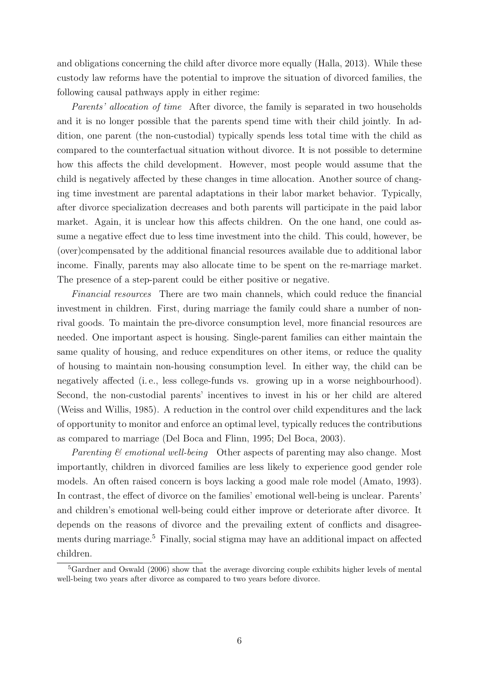and obligations concerning the child after divorce more equally (Halla, 2013). While these custody law reforms have the potential to improve the situation of divorced families, the following causal pathways apply in either regime:

Parents' allocation of time After divorce, the family is separated in two households and it is no longer possible that the parents spend time with their child jointly. In addition, one parent (the non-custodial) typically spends less total time with the child as compared to the counterfactual situation without divorce. It is not possible to determine how this affects the child development. However, most people would assume that the child is negatively affected by these changes in time allocation. Another source of changing time investment are parental adaptations in their labor market behavior. Typically, after divorce specialization decreases and both parents will participate in the paid labor market. Again, it is unclear how this affects children. On the one hand, one could assume a negative effect due to less time investment into the child. This could, however, be (over)compensated by the additional financial resources available due to additional labor income. Finally, parents may also allocate time to be spent on the re-marriage market. The presence of a step-parent could be either positive or negative.

Financial resources There are two main channels, which could reduce the financial investment in children. First, during marriage the family could share a number of nonrival goods. To maintain the pre-divorce consumption level, more financial resources are needed. One important aspect is housing. Single-parent families can either maintain the same quality of housing, and reduce expenditures on other items, or reduce the quality of housing to maintain non-housing consumption level. In either way, the child can be negatively affected (i. e., less college-funds vs. growing up in a worse neighbourhood). Second, the non-custodial parents' incentives to invest in his or her child are altered (Weiss and Willis, 1985). A reduction in the control over child expenditures and the lack of opportunity to monitor and enforce an optimal level, typically reduces the contributions as compared to marriage (Del Boca and Flinn, 1995; Del Boca, 2003).

Parenting  $\mathcal{B}$  emotional well-being Other aspects of parenting may also change. Most importantly, children in divorced families are less likely to experience good gender role models. An often raised concern is boys lacking a good male role model (Amato, 1993). In contrast, the effect of divorce on the families' emotional well-being is unclear. Parents' and children's emotional well-being could either improve or deteriorate after divorce. It depends on the reasons of divorce and the prevailing extent of conflicts and disagreements during marriage.<sup>5</sup> Finally, social stigma may have an additional impact on affected children.

<sup>&</sup>lt;sup>5</sup>Gardner and Oswald (2006) show that the average divorcing couple exhibits higher levels of mental well-being two years after divorce as compared to two years before divorce.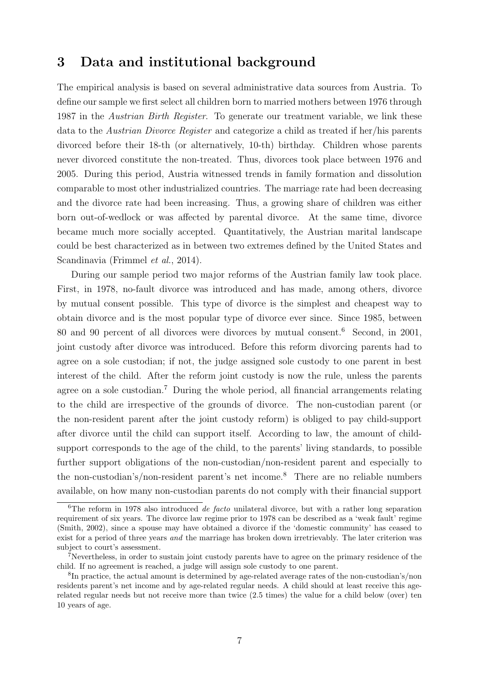#### 3 Data and institutional background

The empirical analysis is based on several administrative data sources from Austria. To define our sample we first select all children born to married mothers between 1976 through 1987 in the *Austrian Birth Register*. To generate our treatment variable, we link these data to the Austrian Divorce Register and categorize a child as treated if her/his parents divorced before their 18-th (or alternatively, 10-th) birthday. Children whose parents never divorced constitute the non-treated. Thus, divorces took place between 1976 and 2005. During this period, Austria witnessed trends in family formation and dissolution comparable to most other industrialized countries. The marriage rate had been decreasing and the divorce rate had been increasing. Thus, a growing share of children was either born out-of-wedlock or was affected by parental divorce. At the same time, divorce became much more socially accepted. Quantitatively, the Austrian marital landscape could be best characterized as in between two extremes defined by the United States and Scandinavia (Frimmel et al., 2014).

During our sample period two major reforms of the Austrian family law took place. First, in 1978, no-fault divorce was introduced and has made, among others, divorce by mutual consent possible. This type of divorce is the simplest and cheapest way to obtain divorce and is the most popular type of divorce ever since. Since 1985, between 80 and 90 percent of all divorces were divorces by mutual consent.<sup>6</sup> Second, in 2001, joint custody after divorce was introduced. Before this reform divorcing parents had to agree on a sole custodian; if not, the judge assigned sole custody to one parent in best interest of the child. After the reform joint custody is now the rule, unless the parents agree on a sole custodian.<sup>7</sup> During the whole period, all financial arrangements relating to the child are irrespective of the grounds of divorce. The non-custodian parent (or the non-resident parent after the joint custody reform) is obliged to pay child-support after divorce until the child can support itself. According to law, the amount of childsupport corresponds to the age of the child, to the parents' living standards, to possible further support obligations of the non-custodian/non-resident parent and especially to the non-custodian's/non-resident parent's net income.<sup>8</sup> There are no reliable numbers available, on how many non-custodian parents do not comply with their financial support

<sup>&</sup>lt;sup>6</sup>The reform in 1978 also introduced *de facto* unilateral divorce, but with a rather long separation requirement of six years. The divorce law regime prior to 1978 can be described as a 'weak fault' regime (Smith, 2002), since a spouse may have obtained a divorce if the 'domestic community' has ceased to exist for a period of three years *and* the marriage has broken down irretrievably. The later criterion was subject to court's assessment.

<sup>7</sup>Nevertheless, in order to sustain joint custody parents have to agree on the primary residence of the child. If no agreement is reached, a judge will assign sole custody to one parent.

<sup>&</sup>lt;sup>8</sup>In practice, the actual amount is determined by age-related average rates of the non-custodian's/non residents parent's net income and by age-related regular needs. A child should at least receive this agerelated regular needs but not receive more than twice (2.5 times) the value for a child below (over) ten 10 years of age.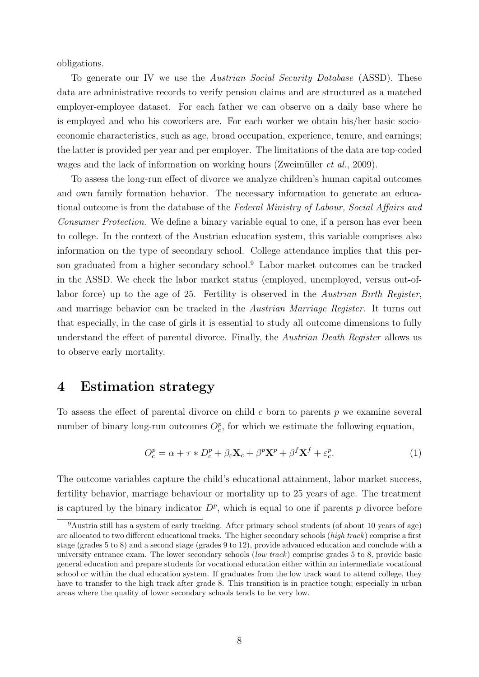obligations.

To generate our IV we use the Austrian Social Security Database (ASSD). These data are administrative records to verify pension claims and are structured as a matched employer-employee dataset. For each father we can observe on a daily base where he is employed and who his coworkers are. For each worker we obtain his/her basic socioeconomic characteristics, such as age, broad occupation, experience, tenure, and earnings; the latter is provided per year and per employer. The limitations of the data are top-coded wages and the lack of information on working hours (Zweimüller *et al.*, 2009).

To assess the long-run effect of divorce we analyze children's human capital outcomes and own family formation behavior. The necessary information to generate an educational outcome is from the database of the Federal Ministry of Labour, Social Affairs and Consumer Protection. We define a binary variable equal to one, if a person has ever been to college. In the context of the Austrian education system, this variable comprises also information on the type of secondary school. College attendance implies that this person graduated from a higher secondary school.<sup>9</sup> Labor market outcomes can be tracked in the ASSD. We check the labor market status (employed, unemployed, versus out-oflabor force) up to the age of 25. Fertility is observed in the Austrian Birth Register, and marriage behavior can be tracked in the Austrian Marriage Register. It turns out that especially, in the case of girls it is essential to study all outcome dimensions to fully understand the effect of parental divorce. Finally, the Austrian Death Register allows us to observe early mortality.

#### 4 Estimation strategy

To assess the effect of parental divorce on child  $c$  born to parents  $p$  we examine several number of binary long-run outcomes  $O_c^p$ , for which we estimate the following equation,

$$
O_c^p = \alpha + \tau \ast D_c^p + \beta_c \mathbf{X}_c + \beta^p \mathbf{X}^p + \beta^f \mathbf{X}^f + \varepsilon_c^p.
$$
 (1)

The outcome variables capture the child's educational attainment, labor market success, fertility behavior, marriage behaviour or mortality up to 25 years of age. The treatment is captured by the binary indicator  $D^p$ , which is equal to one if parents p divorce before

<sup>9</sup>Austria still has a system of early tracking. After primary school students (of about 10 years of age) are allocated to two different educational tracks. The higher secondary schools (high track) comprise a first stage (grades 5 to 8) and a second stage (grades 9 to 12), provide advanced education and conclude with a university entrance exam. The lower secondary schools (low track) comprise grades 5 to 8, provide basic general education and prepare students for vocational education either within an intermediate vocational school or within the dual education system. If graduates from the low track want to attend college, they have to transfer to the high track after grade 8. This transition is in practice tough; especially in urban areas where the quality of lower secondary schools tends to be very low.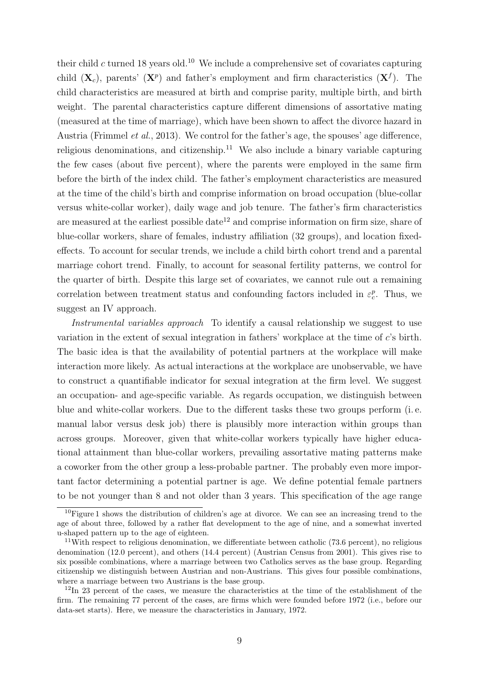their child c turned 18 years old.<sup>10</sup> We include a comprehensive set of covariates capturing child  $(X_c)$ , parents'  $(X<sup>p</sup>)$  and father's employment and firm characteristics  $(X<sup>f</sup>)$ . The child characteristics are measured at birth and comprise parity, multiple birth, and birth weight. The parental characteristics capture different dimensions of assortative mating (measured at the time of marriage), which have been shown to affect the divorce hazard in Austria (Frimmel et al., 2013). We control for the father's age, the spouses' age difference, religious denominations, and citizenship.<sup>11</sup> We also include a binary variable capturing the few cases (about five percent), where the parents were employed in the same firm before the birth of the index child. The father's employment characteristics are measured at the time of the child's birth and comprise information on broad occupation (blue-collar versus white-collar worker), daily wage and job tenure. The father's firm characteristics are measured at the earliest possible date<sup>12</sup> and comprise information on firm size, share of blue-collar workers, share of females, industry affiliation (32 groups), and location fixedeffects. To account for secular trends, we include a child birth cohort trend and a parental marriage cohort trend. Finally, to account for seasonal fertility patterns, we control for the quarter of birth. Despite this large set of covariates, we cannot rule out a remaining correlation between treatment status and confounding factors included in  $\varepsilon_c^p$ . Thus, we suggest an IV approach.

Instrumental variables approach To identify a causal relationship we suggest to use variation in the extent of sexual integration in fathers' workplace at the time of c's birth. The basic idea is that the availability of potential partners at the workplace will make interaction more likely. As actual interactions at the workplace are unobservable, we have to construct a quantifiable indicator for sexual integration at the firm level. We suggest an occupation- and age-specific variable. As regards occupation, we distinguish between blue and white-collar workers. Due to the different tasks these two groups perform (i. e. manual labor versus desk job) there is plausibly more interaction within groups than across groups. Moreover, given that white-collar workers typically have higher educational attainment than blue-collar workers, prevailing assortative mating patterns make a coworker from the other group a less-probable partner. The probably even more important factor determining a potential partner is age. We define potential female partners to be not younger than 8 and not older than 3 years. This specification of the age range

<sup>&</sup>lt;sup>10</sup>Figure 1 shows the distribution of children's age at divorce. We can see an increasing trend to the age of about three, followed by a rather flat development to the age of nine, and a somewhat inverted u-shaped pattern up to the age of eighteen.

<sup>&</sup>lt;sup>11</sup>With respect to religious denomination, we differentiate between catholic (73.6 percent), no religious denomination (12.0 percent), and others (14.4 percent) (Austrian Census from 2001). This gives rise to six possible combinations, where a marriage between two Catholics serves as the base group. Regarding citizenship we distinguish between Austrian and non-Austrians. This gives four possible combinations, where a marriage between two Austrians is the base group.

<sup>&</sup>lt;sup>12</sup>In 23 percent of the cases, we measure the characteristics at the time of the establishment of the firm. The remaining 77 percent of the cases, are firms which were founded before 1972 (i.e., before our data-set starts). Here, we measure the characteristics in January, 1972.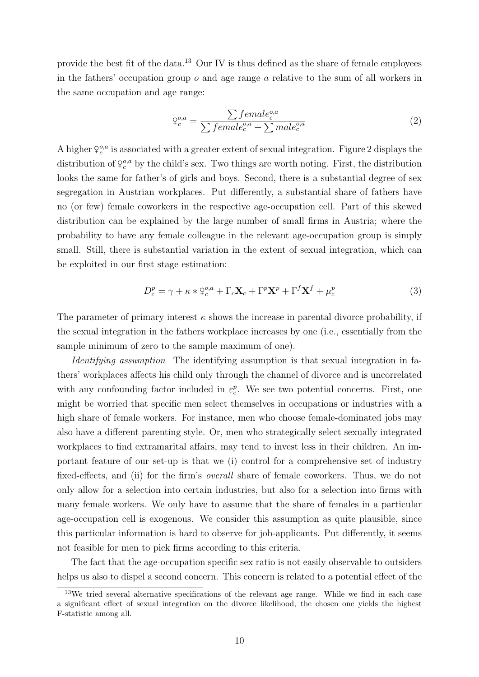provide the best fit of the data.<sup>13</sup> Our IV is thus defined as the share of female employees in the fathers' occupation group  $\sigma$  and age range  $\alpha$  relative to the sum of all workers in the same occupation and age range:

$$
\varphi_c^{o,a} = \frac{\sum female_c^{o,a}}{\sum female_c^{o,a} + \sum male_c^{o,a}}\tag{2}
$$

A higher  $\varphi_c^{o,a}$  is associated with a greater extent of sexual integration. Figure 2 displays the distribution of  $\varphi_c^{o,a}$  by the child's sex. Two things are worth noting. First, the distribution looks the same for father's of girls and boys. Second, there is a substantial degree of sex segregation in Austrian workplaces. Put differently, a substantial share of fathers have no (or few) female coworkers in the respective age-occupation cell. Part of this skewed distribution can be explained by the large number of small firms in Austria; where the probability to have any female colleague in the relevant age-occupation group is simply small. Still, there is substantial variation in the extent of sexual integration, which can be exploited in our first stage estimation:

$$
D_c^p = \gamma + \kappa * \varphi_c^{o,a} + \Gamma_c \mathbf{X}_c + \Gamma^p \mathbf{X}^p + \Gamma^f \mathbf{X}^f + \mu_c^p \tag{3}
$$

The parameter of primary interest  $\kappa$  shows the increase in parental divorce probability, if the sexual integration in the fathers workplace increases by one (i.e., essentially from the sample minimum of zero to the sample maximum of one).

Identifying assumption The identifying assumption is that sexual integration in fathers' workplaces affects his child only through the channel of divorce and is uncorrelated with any confounding factor included in  $\varepsilon_c^p$ . We see two potential concerns. First, one might be worried that specific men select themselves in occupations or industries with a high share of female workers. For instance, men who choose female-dominated jobs may also have a different parenting style. Or, men who strategically select sexually integrated workplaces to find extramarital affairs, may tend to invest less in their children. An important feature of our set-up is that we (i) control for a comprehensive set of industry fixed-effects, and (ii) for the firm's overall share of female coworkers. Thus, we do not only allow for a selection into certain industries, but also for a selection into firms with many female workers. We only have to assume that the share of females in a particular age-occupation cell is exogenous. We consider this assumption as quite plausible, since this particular information is hard to observe for job-applicants. Put differently, it seems not feasible for men to pick firms according to this criteria.

The fact that the age-occupation specific sex ratio is not easily observable to outsiders helps us also to dispel a second concern. This concern is related to a potential effect of the

<sup>&</sup>lt;sup>13</sup>We tried several alternative specifications of the relevant age range. While we find in each case a significant effect of sexual integration on the divorce likelihood, the chosen one yields the highest F-statistic among all.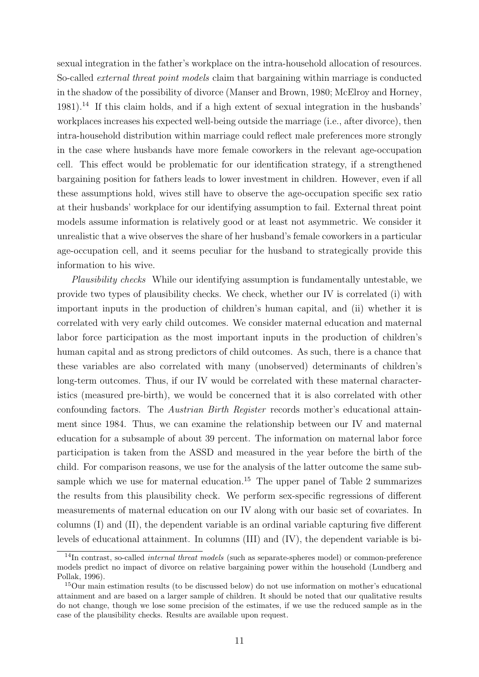sexual integration in the father's workplace on the intra-household allocation of resources. So-called external threat point models claim that bargaining within marriage is conducted in the shadow of the possibility of divorce (Manser and Brown, 1980; McElroy and Horney,  $1981$ ).<sup>14</sup> If this claim holds, and if a high extent of sexual integration in the husbands' workplaces increases his expected well-being outside the marriage (i.e., after divorce), then intra-household distribution within marriage could reflect male preferences more strongly in the case where husbands have more female coworkers in the relevant age-occupation cell. This effect would be problematic for our identification strategy, if a strengthened bargaining position for fathers leads to lower investment in children. However, even if all these assumptions hold, wives still have to observe the age-occupation specific sex ratio at their husbands' workplace for our identifying assumption to fail. External threat point models assume information is relatively good or at least not asymmetric. We consider it unrealistic that a wive observes the share of her husband's female coworkers in a particular age-occupation cell, and it seems peculiar for the husband to strategically provide this information to his wive.

Plausibility checks While our identifying assumption is fundamentally untestable, we provide two types of plausibility checks. We check, whether our IV is correlated (i) with important inputs in the production of children's human capital, and (ii) whether it is correlated with very early child outcomes. We consider maternal education and maternal labor force participation as the most important inputs in the production of children's human capital and as strong predictors of child outcomes. As such, there is a chance that these variables are also correlated with many (unobserved) determinants of children's long-term outcomes. Thus, if our IV would be correlated with these maternal characteristics (measured pre-birth), we would be concerned that it is also correlated with other confounding factors. The Austrian Birth Register records mother's educational attainment since 1984. Thus, we can examine the relationship between our IV and maternal education for a subsample of about 39 percent. The information on maternal labor force participation is taken from the ASSD and measured in the year before the birth of the child. For comparison reasons, we use for the analysis of the latter outcome the same subsample which we use for maternal education.<sup>15</sup> The upper panel of Table 2 summarizes the results from this plausibility check. We perform sex-specific regressions of different measurements of maternal education on our IV along with our basic set of covariates. In columns (I) and (II), the dependent variable is an ordinal variable capturing five different levels of educational attainment. In columns (III) and (IV), the dependent variable is bi-

 $14$ In contrast, so-called *internal threat models* (such as separate-spheres model) or common-preference models predict no impact of divorce on relative bargaining power within the household (Lundberg and Pollak, 1996).

<sup>15</sup>Our main estimation results (to be discussed below) do not use information on mother's educational attainment and are based on a larger sample of children. It should be noted that our qualitative results do not change, though we lose some precision of the estimates, if we use the reduced sample as in the case of the plausibility checks. Results are available upon request.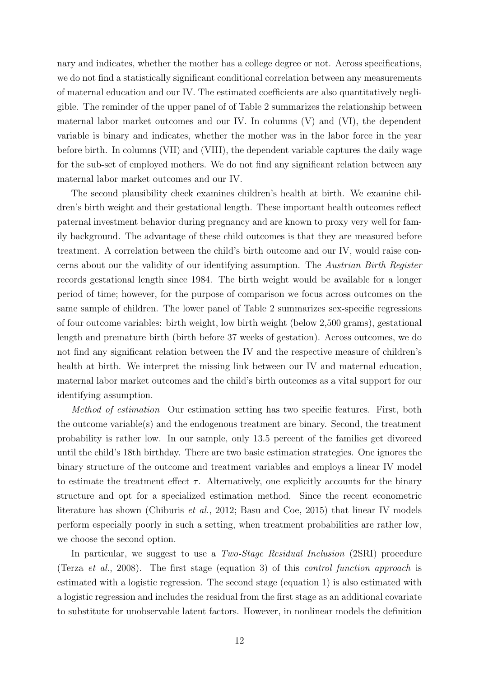nary and indicates, whether the mother has a college degree or not. Across specifications, we do not find a statistically significant conditional correlation between any measurements of maternal education and our IV. The estimated coefficients are also quantitatively negligible. The reminder of the upper panel of of Table 2 summarizes the relationship between maternal labor market outcomes and our IV. In columns (V) and (VI), the dependent variable is binary and indicates, whether the mother was in the labor force in the year before birth. In columns (VII) and (VIII), the dependent variable captures the daily wage for the sub-set of employed mothers. We do not find any significant relation between any maternal labor market outcomes and our IV.

The second plausibility check examines children's health at birth. We examine children's birth weight and their gestational length. These important health outcomes reflect paternal investment behavior during pregnancy and are known to proxy very well for family background. The advantage of these child outcomes is that they are measured before treatment. A correlation between the child's birth outcome and our IV, would raise concerns about our the validity of our identifying assumption. The Austrian Birth Register records gestational length since 1984. The birth weight would be available for a longer period of time; however, for the purpose of comparison we focus across outcomes on the same sample of children. The lower panel of Table 2 summarizes sex-specific regressions of four outcome variables: birth weight, low birth weight (below 2,500 grams), gestational length and premature birth (birth before 37 weeks of gestation). Across outcomes, we do not find any significant relation between the IV and the respective measure of children's health at birth. We interpret the missing link between our IV and maternal education, maternal labor market outcomes and the child's birth outcomes as a vital support for our identifying assumption.

Method of estimation Our estimation setting has two specific features. First, both the outcome variable(s) and the endogenous treatment are binary. Second, the treatment probability is rather low. In our sample, only 13.5 percent of the families get divorced until the child's 18th birthday. There are two basic estimation strategies. One ignores the binary structure of the outcome and treatment variables and employs a linear IV model to estimate the treatment effect  $\tau$ . Alternatively, one explicitly accounts for the binary structure and opt for a specialized estimation method. Since the recent econometric literature has shown (Chiburis *et al.*, 2012; Basu and Coe, 2015) that linear IV models perform especially poorly in such a setting, when treatment probabilities are rather low, we choose the second option.

In particular, we suggest to use a Two-Stage Residual Inclusion (2SRI) procedure (Terza et al., 2008). The first stage (equation 3) of this control function approach is estimated with a logistic regression. The second stage (equation 1) is also estimated with a logistic regression and includes the residual from the first stage as an additional covariate to substitute for unobservable latent factors. However, in nonlinear models the definition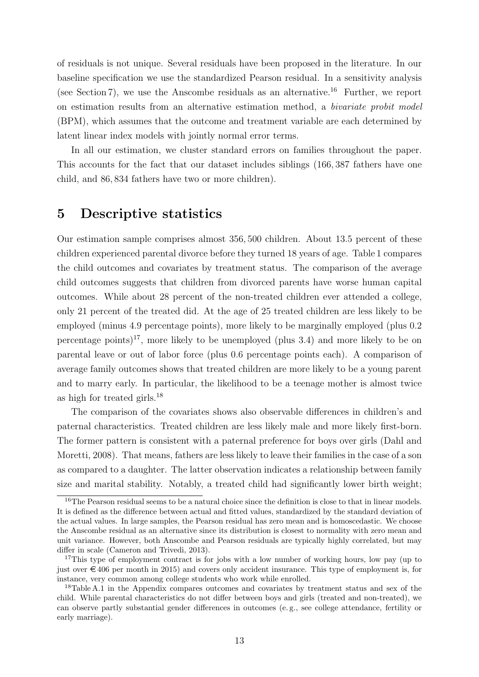of residuals is not unique. Several residuals have been proposed in the literature. In our baseline specification we use the standardized Pearson residual. In a sensitivity analysis (see Section 7), we use the Anscombe residuals as an alternative.<sup>16</sup> Further, we report on estimation results from an alternative estimation method, a bivariate probit model (BPM), which assumes that the outcome and treatment variable are each determined by latent linear index models with jointly normal error terms.

In all our estimation, we cluster standard errors on families throughout the paper. This accounts for the fact that our dataset includes siblings (166, 387 fathers have one child, and 86, 834 fathers have two or more children).

#### 5 Descriptive statistics

Our estimation sample comprises almost 356, 500 children. About 13.5 percent of these children experienced parental divorce before they turned 18 years of age. Table 1 compares the child outcomes and covariates by treatment status. The comparison of the average child outcomes suggests that children from divorced parents have worse human capital outcomes. While about 28 percent of the non-treated children ever attended a college, only 21 percent of the treated did. At the age of 25 treated children are less likely to be employed (minus 4.9 percentage points), more likely to be marginally employed (plus 0.2 percentage points)<sup>17</sup>, more likely to be unemployed (plus 3.4) and more likely to be on parental leave or out of labor force (plus 0.6 percentage points each). A comparison of average family outcomes shows that treated children are more likely to be a young parent and to marry early. In particular, the likelihood to be a teenage mother is almost twice as high for treated girls.<sup>18</sup>

The comparison of the covariates shows also observable differences in children's and paternal characteristics. Treated children are less likely male and more likely first-born. The former pattern is consistent with a paternal preference for boys over girls (Dahl and Moretti, 2008). That means, fathers are less likely to leave their families in the case of a son as compared to a daughter. The latter observation indicates a relationship between family size and marital stability. Notably, a treated child had significantly lower birth weight;

<sup>&</sup>lt;sup>16</sup>The Pearson residual seems to be a natural choice since the definition is close to that in linear models. It is defined as the difference between actual and fitted values, standardized by the standard deviation of the actual values. In large samples, the Pearson residual has zero mean and is homoscedastic. We choose the Anscombe residual as an alternative since its distribution is closest to normality with zero mean and unit variance. However, both Anscombe and Pearson residuals are typically highly correlated, but may differ in scale (Cameron and Trivedi, 2013).

<sup>&</sup>lt;sup>17</sup>This type of employment contract is for jobs with a low number of working hours, low pay (up to just over  $\in$  406 per month in 2015) and covers only accident insurance. This type of employment is, for instance, very common among college students who work while enrolled.

<sup>&</sup>lt;sup>18</sup>Table A.1 in the Appendix compares outcomes and covariates by treatment status and sex of the child. While parental characteristics do not differ between boys and girls (treated and non-treated), we can observe partly substantial gender differences in outcomes (e. g., see college attendance, fertility or early marriage).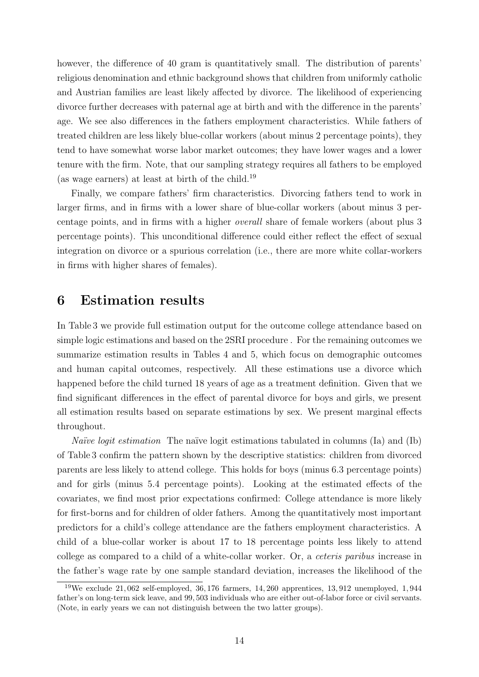however, the difference of 40 gram is quantitatively small. The distribution of parents' religious denomination and ethnic background shows that children from uniformly catholic and Austrian families are least likely affected by divorce. The likelihood of experiencing divorce further decreases with paternal age at birth and with the difference in the parents' age. We see also differences in the fathers employment characteristics. While fathers of treated children are less likely blue-collar workers (about minus 2 percentage points), they tend to have somewhat worse labor market outcomes; they have lower wages and a lower tenure with the firm. Note, that our sampling strategy requires all fathers to be employed (as wage earners) at least at birth of the child.<sup>19</sup>

Finally, we compare fathers' firm characteristics. Divorcing fathers tend to work in larger firms, and in firms with a lower share of blue-collar workers (about minus 3 percentage points, and in firms with a higher overall share of female workers (about plus 3 percentage points). This unconditional difference could either reflect the effect of sexual integration on divorce or a spurious correlation (i.e., there are more white collar-workers in firms with higher shares of females).

#### 6 Estimation results

In Table 3 we provide full estimation output for the outcome college attendance based on simple logic estimations and based on the 2SRI procedure . For the remaining outcomes we summarize estimation results in Tables 4 and 5, which focus on demographic outcomes and human capital outcomes, respectively. All these estimations use a divorce which happened before the child turned 18 years of age as a treatment definition. Given that we find significant differences in the effect of parental divorce for boys and girls, we present all estimation results based on separate estimations by sex. We present marginal effects throughout.

*Naïve logit estimation* The naïve logit estimations tabulated in columns (Ia) and (Ib) of Table 3 confirm the pattern shown by the descriptive statistics: children from divorced parents are less likely to attend college. This holds for boys (minus 6.3 percentage points) and for girls (minus 5.4 percentage points). Looking at the estimated effects of the covariates, we find most prior expectations confirmed: College attendance is more likely for first-borns and for children of older fathers. Among the quantitatively most important predictors for a child's college attendance are the fathers employment characteristics. A child of a blue-collar worker is about 17 to 18 percentage points less likely to attend college as compared to a child of a white-collar worker. Or, a ceteris paribus increase in the father's wage rate by one sample standard deviation, increases the likelihood of the

<sup>&</sup>lt;sup>19</sup>We exclude 21,062 self-employed, 36,176 farmers, 14,260 apprentices, 13,912 unemployed, 1,944 father's on long-term sick leave, and 99, 503 individuals who are either out-of-labor force or civil servants. (Note, in early years we can not distinguish between the two latter groups).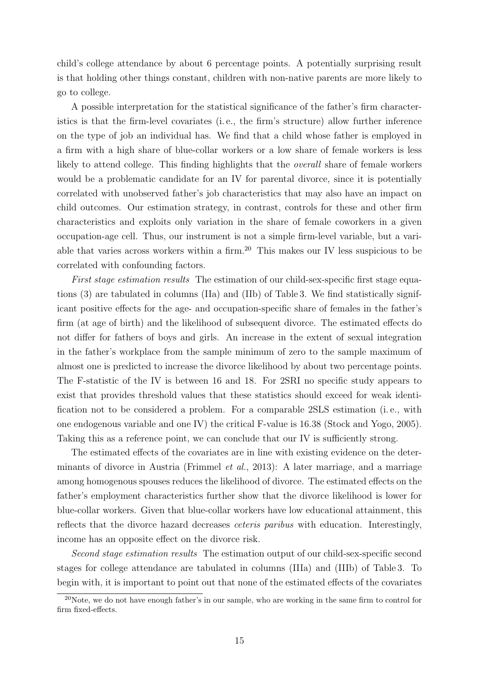child's college attendance by about 6 percentage points. A potentially surprising result is that holding other things constant, children with non-native parents are more likely to go to college.

A possible interpretation for the statistical significance of the father's firm characteristics is that the firm-level covariates (i. e., the firm's structure) allow further inference on the type of job an individual has. We find that a child whose father is employed in a firm with a high share of blue-collar workers or a low share of female workers is less likely to attend college. This finding highlights that the overall share of female workers would be a problematic candidate for an IV for parental divorce, since it is potentially correlated with unobserved father's job characteristics that may also have an impact on child outcomes. Our estimation strategy, in contrast, controls for these and other firm characteristics and exploits only variation in the share of female coworkers in a given occupation-age cell. Thus, our instrument is not a simple firm-level variable, but a variable that varies across workers within a firm.<sup>20</sup> This makes our IV less suspicious to be correlated with confounding factors.

First stage estimation results The estimation of our child-sex-specific first stage equations (3) are tabulated in columns (IIa) and (IIb) of Table 3. We find statistically significant positive effects for the age- and occupation-specific share of females in the father's firm (at age of birth) and the likelihood of subsequent divorce. The estimated effects do not differ for fathers of boys and girls. An increase in the extent of sexual integration in the father's workplace from the sample minimum of zero to the sample maximum of almost one is predicted to increase the divorce likelihood by about two percentage points. The F-statistic of the IV is between 16 and 18. For 2SRI no specific study appears to exist that provides threshold values that these statistics should exceed for weak identification not to be considered a problem. For a comparable 2SLS estimation (i. e., with one endogenous variable and one IV) the critical F-value is 16.38 (Stock and Yogo, 2005). Taking this as a reference point, we can conclude that our IV is sufficiently strong.

The estimated effects of the covariates are in line with existing evidence on the determinants of divorce in Austria (Frimmel et al., 2013): A later marriage, and a marriage among homogenous spouses reduces the likelihood of divorce. The estimated effects on the father's employment characteristics further show that the divorce likelihood is lower for blue-collar workers. Given that blue-collar workers have low educational attainment, this reflects that the divorce hazard decreases ceteris paribus with education. Interestingly, income has an opposite effect on the divorce risk.

Second stage estimation results The estimation output of our child-sex-specific second stages for college attendance are tabulated in columns (IIIa) and (IIIb) of Table 3. To begin with, it is important to point out that none of the estimated effects of the covariates

 $\overline{^{20}$ Note, we do not have enough father's in our sample, who are working in the same firm to control for firm fixed-effects.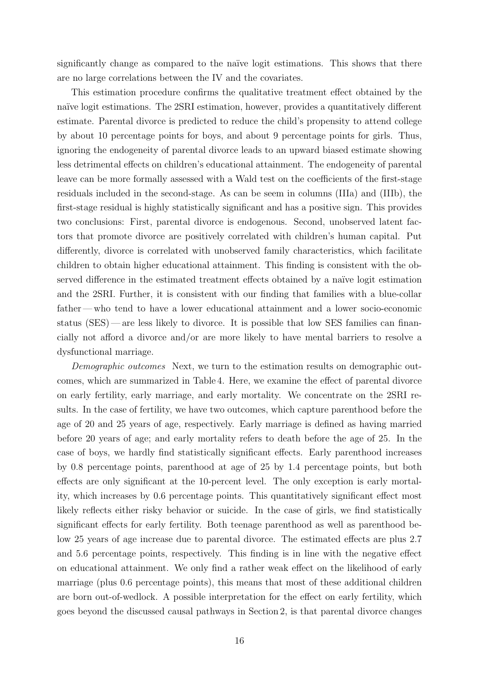significantly change as compared to the naïve logit estimations. This shows that there are no large correlations between the IV and the covariates.

This estimation procedure confirms the qualitative treatment effect obtained by the naïve logit estimations. The 2SRI estimation, however, provides a quantitatively different estimate. Parental divorce is predicted to reduce the child's propensity to attend college by about 10 percentage points for boys, and about 9 percentage points for girls. Thus, ignoring the endogeneity of parental divorce leads to an upward biased estimate showing less detrimental effects on children's educational attainment. The endogeneity of parental leave can be more formally assessed with a Wald test on the coefficients of the first-stage residuals included in the second-stage. As can be seem in columns (IIIa) and (IIIb), the first-stage residual is highly statistically significant and has a positive sign. This provides two conclusions: First, parental divorce is endogenous. Second, unobserved latent factors that promote divorce are positively correlated with children's human capital. Put differently, divorce is correlated with unobserved family characteristics, which facilitate children to obtain higher educational attainment. This finding is consistent with the observed difference in the estimated treatment effects obtained by a naïve logit estimation and the 2SRI. Further, it is consistent with our finding that families with a blue-collar father— who tend to have a lower educational attainment and a lower socio-economic status (SES)— are less likely to divorce. It is possible that low SES families can financially not afford a divorce and/or are more likely to have mental barriers to resolve a dysfunctional marriage.

Demographic outcomes Next, we turn to the estimation results on demographic outcomes, which are summarized in Table 4. Here, we examine the effect of parental divorce on early fertility, early marriage, and early mortality. We concentrate on the 2SRI results. In the case of fertility, we have two outcomes, which capture parenthood before the age of 20 and 25 years of age, respectively. Early marriage is defined as having married before 20 years of age; and early mortality refers to death before the age of 25. In the case of boys, we hardly find statistically significant effects. Early parenthood increases by 0.8 percentage points, parenthood at age of 25 by 1.4 percentage points, but both effects are only significant at the 10-percent level. The only exception is early mortality, which increases by 0.6 percentage points. This quantitatively significant effect most likely reflects either risky behavior or suicide. In the case of girls, we find statistically significant effects for early fertility. Both teenage parenthood as well as parenthood below 25 years of age increase due to parental divorce. The estimated effects are plus 2.7 and 5.6 percentage points, respectively. This finding is in line with the negative effect on educational attainment. We only find a rather weak effect on the likelihood of early marriage (plus 0.6 percentage points), this means that most of these additional children are born out-of-wedlock. A possible interpretation for the effect on early fertility, which goes beyond the discussed causal pathways in Section 2, is that parental divorce changes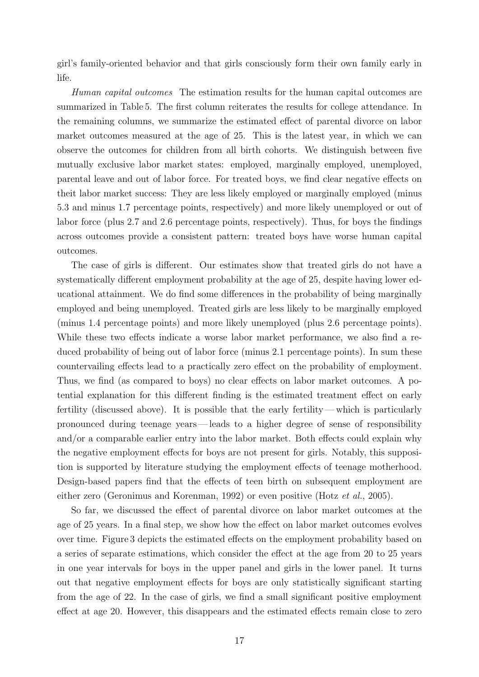girl's family-oriented behavior and that girls consciously form their own family early in life.

Human capital outcomes The estimation results for the human capital outcomes are summarized in Table 5. The first column reiterates the results for college attendance. In the remaining columns, we summarize the estimated effect of parental divorce on labor market outcomes measured at the age of 25. This is the latest year, in which we can observe the outcomes for children from all birth cohorts. We distinguish between five mutually exclusive labor market states: employed, marginally employed, unemployed, parental leave and out of labor force. For treated boys, we find clear negative effects on theit labor market success: They are less likely employed or marginally employed (minus 5.3 and minus 1.7 percentage points, respectively) and more likely unemployed or out of labor force (plus 2.7 and 2.6 percentage points, respectively). Thus, for boys the findings across outcomes provide a consistent pattern: treated boys have worse human capital outcomes.

The case of girls is different. Our estimates show that treated girls do not have a systematically different employment probability at the age of 25, despite having lower educational attainment. We do find some differences in the probability of being marginally employed and being unemployed. Treated girls are less likely to be marginally employed (minus 1.4 percentage points) and more likely unemployed (plus 2.6 percentage points). While these two effects indicate a worse labor market performance, we also find a reduced probability of being out of labor force (minus 2.1 percentage points). In sum these countervailing effects lead to a practically zero effect on the probability of employment. Thus, we find (as compared to boys) no clear effects on labor market outcomes. A potential explanation for this different finding is the estimated treatment effect on early fertility (discussed above). It is possible that the early fertility— which is particularly pronounced during teenage years— leads to a higher degree of sense of responsibility and/or a comparable earlier entry into the labor market. Both effects could explain why the negative employment effects for boys are not present for girls. Notably, this supposition is supported by literature studying the employment effects of teenage motherhood. Design-based papers find that the effects of teen birth on subsequent employment are either zero (Geronimus and Korenman, 1992) or even positive (Hotz et al., 2005).

So far, we discussed the effect of parental divorce on labor market outcomes at the age of 25 years. In a final step, we show how the effect on labor market outcomes evolves over time. Figure 3 depicts the estimated effects on the employment probability based on a series of separate estimations, which consider the effect at the age from 20 to 25 years in one year intervals for boys in the upper panel and girls in the lower panel. It turns out that negative employment effects for boys are only statistically significant starting from the age of 22. In the case of girls, we find a small significant positive employment effect at age 20. However, this disappears and the estimated effects remain close to zero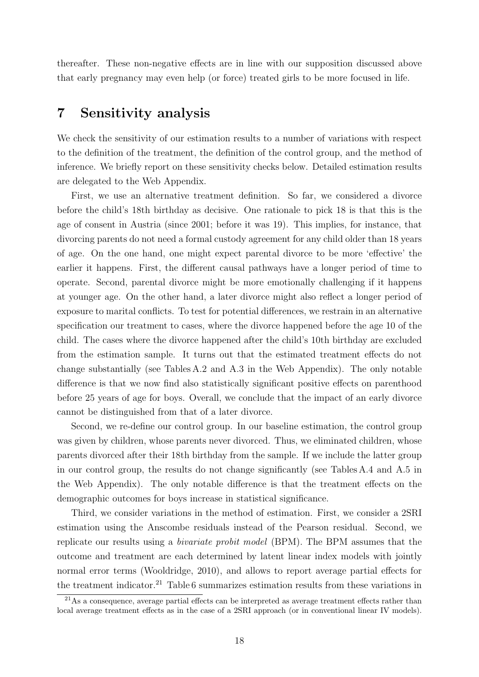thereafter. These non-negative effects are in line with our supposition discussed above that early pregnancy may even help (or force) treated girls to be more focused in life.

#### 7 Sensitivity analysis

We check the sensitivity of our estimation results to a number of variations with respect to the definition of the treatment, the definition of the control group, and the method of inference. We briefly report on these sensitivity checks below. Detailed estimation results are delegated to the Web Appendix.

First, we use an alternative treatment definition. So far, we considered a divorce before the child's 18th birthday as decisive. One rationale to pick 18 is that this is the age of consent in Austria (since 2001; before it was 19). This implies, for instance, that divorcing parents do not need a formal custody agreement for any child older than 18 years of age. On the one hand, one might expect parental divorce to be more 'effective' the earlier it happens. First, the different causal pathways have a longer period of time to operate. Second, parental divorce might be more emotionally challenging if it happens at younger age. On the other hand, a later divorce might also reflect a longer period of exposure to marital conflicts. To test for potential differences, we restrain in an alternative specification our treatment to cases, where the divorce happened before the age 10 of the child. The cases where the divorce happened after the child's 10th birthday are excluded from the estimation sample. It turns out that the estimated treatment effects do not change substantially (see Tables A.2 and A.3 in the Web Appendix). The only notable difference is that we now find also statistically significant positive effects on parenthood before 25 years of age for boys. Overall, we conclude that the impact of an early divorce cannot be distinguished from that of a later divorce.

Second, we re-define our control group. In our baseline estimation, the control group was given by children, whose parents never divorced. Thus, we eliminated children, whose parents divorced after their 18th birthday from the sample. If we include the latter group in our control group, the results do not change significantly (see Tables A.4 and A.5 in the Web Appendix). The only notable difference is that the treatment effects on the demographic outcomes for boys increase in statistical significance.

Third, we consider variations in the method of estimation. First, we consider a 2SRI estimation using the Anscombe residuals instead of the Pearson residual. Second, we replicate our results using a bivariate probit model (BPM). The BPM assumes that the outcome and treatment are each determined by latent linear index models with jointly normal error terms (Wooldridge, 2010), and allows to report average partial effects for the treatment indicator.<sup>21</sup> Table 6 summarizes estimation results from these variations in

 $21\text{As a consequence, average partial effects can be interpreted as average treatment effects rather than }$ local average treatment effects as in the case of a 2SRI approach (or in conventional linear IV models).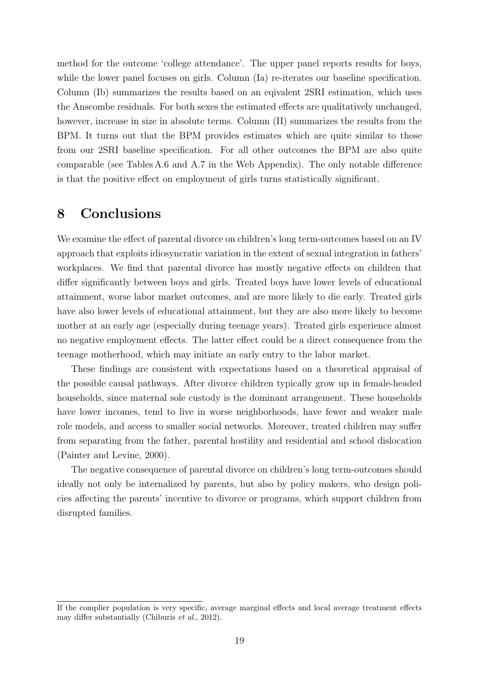method for the outcome 'college attendance'. The upper panel reports results for boys, while the lower panel focuses on girls. Column (Ia) re-iterates our baseline specification. Column (Ib) summarizes the results based on an eqivalent 2SRI estimation, which uses the Anscombe residuals. For both sexes the estimated effects are qualitatively unchanged, however, increase in size in absolute terms. Column (II) summarizes the results from the BPM. It turns out that the BPM provides estimates which are quite similar to those from our 2SRI baseline specification. For all other outcomes the BPM are also quite comparable (see Tables A.6 and A.7 in the Web Appendix). The only notable difference is that the positive effect on employment of girls turns statistically significant.

### 8 Conclusions

We examine the effect of parental divorce on children's long term-outcomes based on an IV approach that exploits idiosyncratic variation in the extent of sexual integration in fathers' workplaces. We find that parental divorce has mostly negative effects on children that differ significantly between boys and girls. Treated boys have lower levels of educational attainment, worse labor market outcomes, and are more likely to die early. Treated girls have also lower levels of educational attainment, but they are also more likely to become mother at an early age (especially during teenage years). Treated girls experience almost no negative employment effects. The latter effect could be a direct consequence from the teenage motherhood, which may initiate an early entry to the labor market.

These findings are consistent with expectations based on a theoretical appraisal of the possible causal pathways. After divorce children typically grow up in female-headed households, since maternal sole custody is the dominant arrangement. These households have lower incomes, tend to live in worse neighborhoods, have fewer and weaker male role models, and access to smaller social networks. Moreover, treated children may suffer from separating from the father, parental hostility and residential and school dislocation (Painter and Levine, 2000).

The negative consequence of parental divorce on children's long term-outcomes should ideally not only be internalized by parents, but also by policy makers, who design policies affecting the parents' incentive to divorce or programs, which support children from disrupted families.

If the complier population is very specific, average marginal effects and local average treatment effects may differ substantially (Chiburis et al., 2012).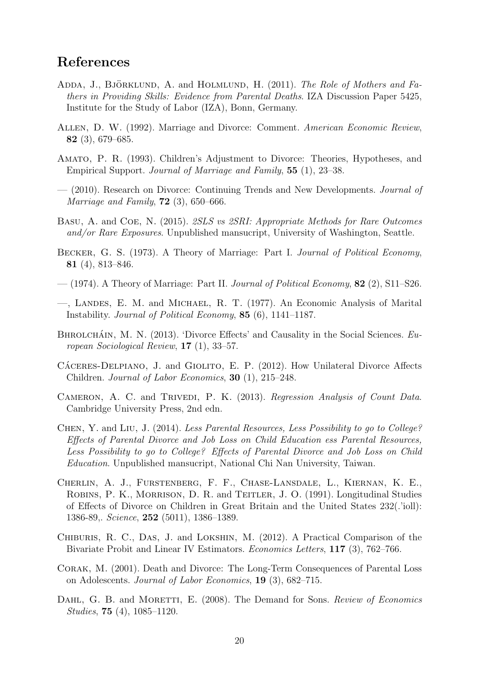#### References

- ADDA, J., BJÖRKLUND, A. and HOLMLUND, H.  $(2011)$ . The Role of Mothers and Fathers in Providing Skills: Evidence from Parental Deaths. IZA Discussion Paper 5425, Institute for the Study of Labor (IZA), Bonn, Germany.
- Allen, D. W. (1992). Marriage and Divorce: Comment. American Economic Review, 82 (3), 679–685.
- Amato, P. R. (1993). Children's Adjustment to Divorce: Theories, Hypotheses, and Empirical Support. Journal of Marriage and Family, 55 (1), 23–38.
- (2010). Research on Divorce: Continuing Trends and New Developments. Journal of *Marriage and Family*, **72** (3), 650–666.
- Basu, A. and Coe, N. (2015). 2SLS vs 2SRI: Appropriate Methods for Rare Outcomes and/or Rare Exposures. Unpublished mansucript, University of Washington, Seattle.
- BECKER, G. S. (1973). A Theory of Marriage: Part I. Journal of Political Economy, 81 (4), 813–846.
- $-$  (1974). A Theory of Marriage: Part II. Journal of Political Economy, 82 (2), S11–S26.
- —, Landes, E. M. and Michael, R. T. (1977). An Economic Analysis of Marital Instability. Journal of Political Economy, 85 (6), 1141–1187.
- BHROLCHÁIN, M. N.  $(2013)$ . 'Divorce Effects' and Causality in the Social Sciences.  $Eu$ ropean Sociological Review, 17 (1), 33–57.
- CÁCERES-DELPIANO, J. and GIOLITO, E. P. (2012). How Unilateral Divorce Affects Children. Journal of Labor Economics, 30 (1), 215–248.
- CAMERON, A. C. and TRIVEDI, P. K. (2013). Regression Analysis of Count Data. Cambridge University Press, 2nd edn.
- Chen, Y. and Liu, J. (2014). Less Parental Resources, Less Possibility to go to College? Effects of Parental Divorce and Job Loss on Child Education ess Parental Resources, Less Possibility to go to College? Effects of Parental Divorce and Job Loss on Child Education. Unpublished mansucript, National Chi Nan University, Taiwan.
- Cherlin, A. J., Furstenberg, F. F., Chase-Lansdale, L., Kiernan, K. E., ROBINS, P. K., MORRISON, D. R. and TEITLER, J. O. (1991). Longitudinal Studies of Effects of Divorce on Children in Great Britain and the United States 232(.'ioll): 1386-89,. Science, 252 (5011), 1386–1389.
- Chiburis, R. C., Das, J. and Lokshin, M. (2012). A Practical Comparison of the Bivariate Probit and Linear IV Estimators. Economics Letters, 117 (3), 762–766.
- Corak, M. (2001). Death and Divorce: The Long-Term Consequences of Parental Loss on Adolescents. Journal of Labor Economics, 19 (3), 682–715.
- DAHL, G. B. and MORETTI, E. (2008). The Demand for Sons. Review of Economics Studies, 75 (4), 1085–1120.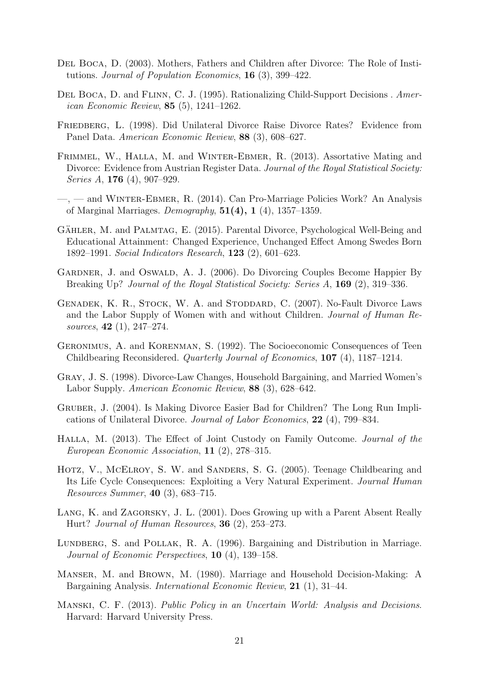- Del Boca, D. (2003). Mothers, Fathers and Children after Divorce: The Role of Institutions. Journal of Population Economics, 16 (3), 399–422.
- DEL BOCA, D. and FLINN, C. J. (1995). Rationalizing Child-Support Decisions . American Economic Review, 85 (5), 1241–1262.
- Friedberg, L. (1998). Did Unilateral Divorce Raise Divorce Rates? Evidence from Panel Data. American Economic Review, 88 (3), 608–627.
- FRIMMEL, W., HALLA, M. and WINTER-EBMER, R. (2013). Assortative Mating and Divorce: Evidence from Austrian Register Data. Journal of the Royal Statistical Society: Series A, 176 (4), 907–929.
- —, and Winter-Ebmer, R. (2014). Can Pro-Marriage Policies Work? An Analysis of Marginal Marriages. Demography,  $51(4)$ ,  $1(4)$ ,  $1357-1359$ .
- GÄHLER, M. and PALMTAG, E. (2015). Parental Divorce, Psychological Well-Being and Educational Attainment: Changed Experience, Unchanged Effect Among Swedes Born 1892–1991. Social Indicators Research, 123 (2), 601–623.
- GARDNER, J. and OSWALD, A. J. (2006). Do Divorcing Couples Become Happier By Breaking Up? *Journal of the Royal Statistical Society: Series A*, **169** (2), 319–336.
- Genadek, K. R., Stock, W. A. and Stoddard, C. (2007). No-Fault Divorce Laws and the Labor Supply of Women with and without Children. Journal of Human Resources, 42 (1), 247–274.
- Geronimus, A. and Korenman, S. (1992). The Socioeconomic Consequences of Teen Childbearing Reconsidered. Quarterly Journal of Economics, 107 (4), 1187–1214.
- Gray, J. S. (1998). Divorce-Law Changes, Household Bargaining, and Married Women's Labor Supply. American Economic Review, 88 (3), 628–642.
- Gruber, J. (2004). Is Making Divorce Easier Bad for Children? The Long Run Implications of Unilateral Divorce. Journal of Labor Economics, 22 (4), 799–834.
- Halla, M. (2013). The Effect of Joint Custody on Family Outcome. Journal of the European Economic Association, 11 (2), 278–315.
- HOTZ, V., MCELROY, S. W. and SANDERS, S. G. (2005). Teenage Childbearing and Its Life Cycle Consequences: Exploiting a Very Natural Experiment. Journal Human Resources Summer, 40 (3), 683–715.
- LANG, K. and ZAGORSKY, J. L. (2001). Does Growing up with a Parent Absent Really Hurt? Journal of Human Resources, 36 (2), 253–273.
- Lundberg, S. and Pollak, R. A. (1996). Bargaining and Distribution in Marriage. Journal of Economic Perspectives, 10 (4), 139–158.
- Manser, M. and Brown, M. (1980). Marriage and Household Decision-Making: A Bargaining Analysis. International Economic Review, 21 (1), 31–44.
- Manski, C. F. (2013). Public Policy in an Uncertain World: Analysis and Decisions. Harvard: Harvard University Press.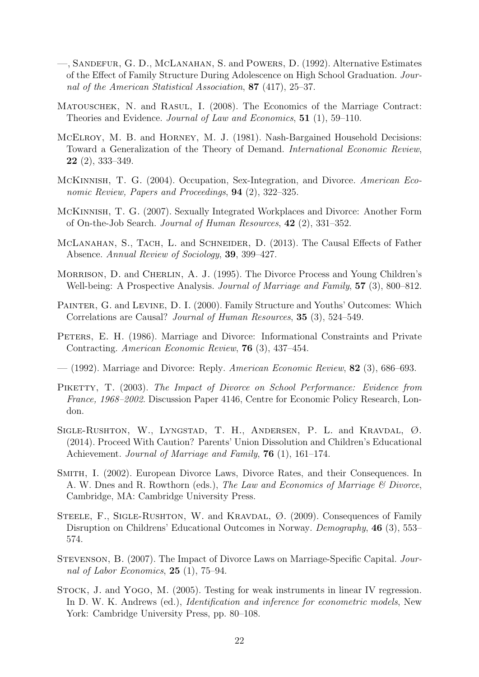- —, Sandefur, G. D., McLanahan, S. and Powers, D. (1992). Alternative Estimates of the Effect of Family Structure During Adolescence on High School Graduation. Journal of the American Statistical Association, 87 (417), 25–37.
- MATOUSCHEK, N. and RASUL, I. (2008). The Economics of the Marriage Contract: Theories and Evidence. Journal of Law and Economics, 51 (1), 59–110.
- McElroy, M. B. and Horney, M. J. (1981). Nash-Bargained Household Decisions: Toward a Generalization of the Theory of Demand. International Economic Review,  $22$  (2), 333–349.
- McKinnish, T. G. (2004). Occupation, Sex-Integration, and Divorce. American Economic Review, Papers and Proceedings, 94 (2), 322–325.
- McKinnish, T. G. (2007). Sexually Integrated Workplaces and Divorce: Another Form of On-the-Job Search. Journal of Human Resources, 42 (2), 331–352.
- McLanahan, S., Tach, L. and Schneider, D. (2013). The Causal Effects of Father Absence. Annual Review of Sociology, 39, 399–427.
- MORRISON, D. and CHERLIN, A. J. (1995). The Divorce Process and Young Children's Well-being: A Prospective Analysis. Journal of Marriage and Family, 57 (3), 800–812.
- PAINTER, G. and LEVINE, D. I. (2000). Family Structure and Youths' Outcomes: Which Correlations are Causal? Journal of Human Resources, 35 (3), 524–549.
- PETERS, E. H. (1986). Marriage and Divorce: Informational Constraints and Private Contracting. American Economic Review, 76 (3), 437–454.
- $-$  (1992). Marriage and Divorce: Reply. *American Economic Review*, **82** (3), 686–693.
- PIKETTY, T. (2003). The Impact of Divorce on School Performance: Evidence from France, 1968–2002. Discussion Paper 4146, Centre for Economic Policy Research, London.
- Sigle-Rushton, W., Lyngstad, T. H., Andersen, P. L. and Kravdal, Ø. (2014). Proceed With Caution? Parents' Union Dissolution and Children's Educational Achievement. Journal of Marriage and Family, **76** (1), 161–174.
- Smith, I. (2002). European Divorce Laws, Divorce Rates, and their Consequences. In A. W. Dnes and R. Rowthorn (eds.), The Law and Economics of Marriage & Divorce, Cambridge, MA: Cambridge University Press.
- STEELE, F., SIGLE-RUSHTON, W. and KRAVDAL,  $\varnothing$ . (2009). Consequences of Family Disruption on Childrens' Educational Outcomes in Norway. Demography, 46 (3), 553– 574.
- Stevenson, B. (2007). The Impact of Divorce Laws on Marriage-Specific Capital. Journal of Labor Economics,  $25(1)$ , 75–94.
- Stock, J. and Yogo, M. (2005). Testing for weak instruments in linear IV regression. In D. W. K. Andrews (ed.), *Identification and inference for econometric models*, New York: Cambridge University Press, pp. 80–108.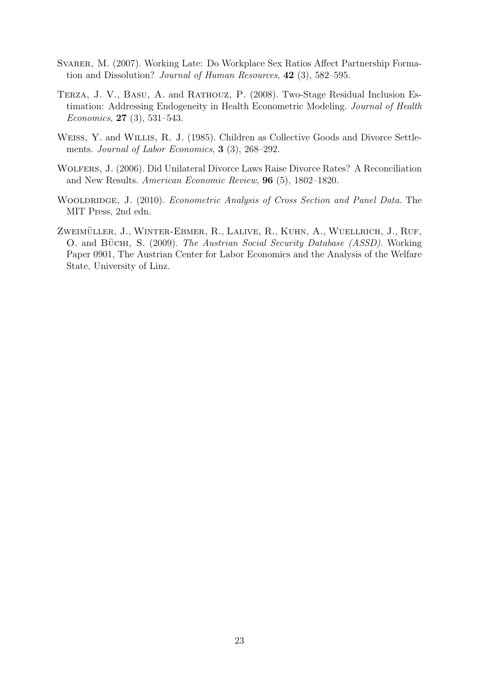- SVARER, M. (2007). Working Late: Do Workplace Sex Ratios Affect Partnership Formation and Dissolution? Journal of Human Resources, 42 (3), 582–595.
- Terza, J. V., Basu, A. and Rathouz, P. (2008). Two-Stage Residual Inclusion Estimation: Addressing Endogeneity in Health Econometric Modeling. Journal of Health Economics, 27 (3), 531–543.
- Weiss, Y. and Willis, R. J. (1985). Children as Collective Goods and Divorce Settlements. Journal of Labor Economics, 3 (3), 268-292.
- Wolfers, J. (2006). Did Unilateral Divorce Laws Raise Divorce Rates? A Reconciliation and New Results. American Economic Review, 96 (5), 1802–1820.
- WOOLDRIDGE, J. (2010). *Econometric Analysis of Cross Section and Panel Data*. The MIT Press, 2nd edn.
- ZWEIMÜLLER, J., WINTER-EBMER, R., LALIVE, R., KUHN, A., WUELLRICH, J., RUF, O. and BÜCHI, S. (2009). The Austrian Social Security Database (ASSD). Working Paper 0901, The Austrian Center for Labor Economics and the Analysis of the Welfare State, University of Linz.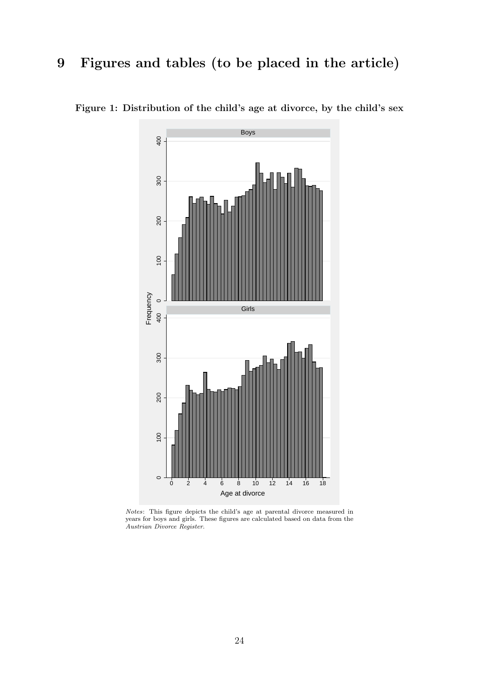# 9 Figures and tables (to be placed in the article)



Figure 1: Distribution of the child's age at divorce, by the child's sex

Notes: This figure depicts the child's age at parental divorce measured in years for boys and girls. These figures are calculated based on data from the Austrian Divorce Register.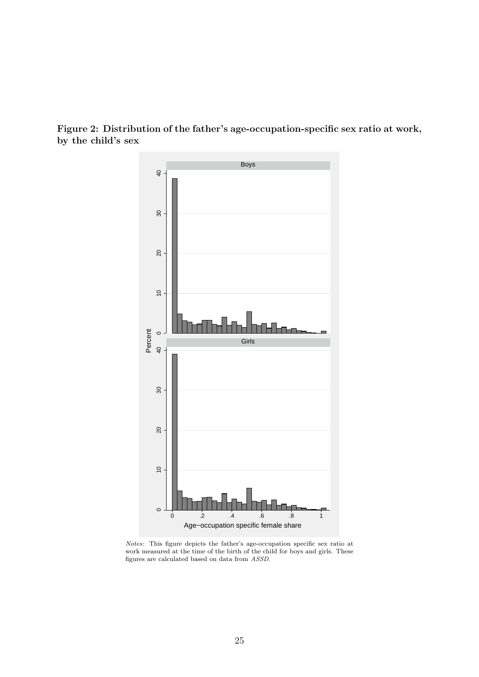

Figure 2: Distribution of the father's age-occupation-specific sex ratio at work, by the child's sex

Notes: This figure depicts the father's age-occupation specific sex ratio at work measured at the time of the birth of the child for boys and girls. These figures are calculated based on data from ASSD.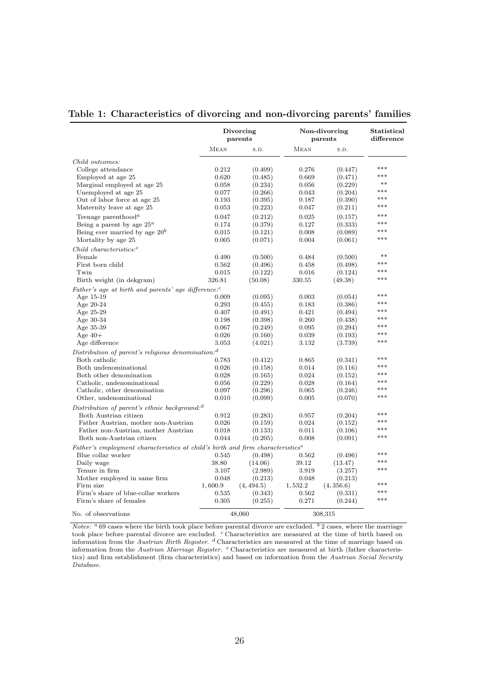#### Table 1: Characteristics of divorcing and non-divorcing parents' families

|                                                                                            |         | Divorcing<br>parents |             | Non-divorcing<br>parents | Statistical<br>difference |
|--------------------------------------------------------------------------------------------|---------|----------------------|-------------|--------------------------|---------------------------|
|                                                                                            | MEAN    | S.D.                 | <b>MEAN</b> | S.D.                     |                           |
| Child outcomes:                                                                            |         |                      |             |                          |                           |
| College attendance                                                                         | 0.212   | (0.409)              | 0.276       | (0.447)                  | ***                       |
| Employed at age 25                                                                         | 0.620   | (0.485)              | 0.669       | (0.471)                  | ***                       |
| Marginal employed at age 25                                                                | 0.058   | (0.234)              | 0.056       | (0.229)                  | $***$                     |
| Unemployed at age 25                                                                       | 0.077   | (0.266)              | 0.043       | (0.204)                  | ***                       |
| Out of labor force at age 25                                                               | 0.193   | (0.395)              | 0.187       | (0.390)                  | ***                       |
| Maternity leave at age 25                                                                  | 0.053   | (0.223)              | 0.047       | (0.211)                  | ***                       |
|                                                                                            |         |                      |             |                          | ***                       |
| Teenage parenthood <sup><math>a</math></sup>                                               | 0.047   | (0.212)              | 0.025       | (0.157)                  | ***                       |
| Being a parent by age $25^a$                                                               | 0.174   | (0.379)              | 0.127       | (0.333)                  | ***                       |
| Being ever married by age $20^b$                                                           | 0.015   | (0.121)              | 0.008       | (0.089)                  | ***                       |
| Mortality by age 25                                                                        | 0.005   | (0.071)              | 0.004       | (0.061)                  |                           |
| $Child$ characteristics: <sup>c</sup>                                                      |         |                      |             |                          |                           |
| Female                                                                                     | 0.490   | (0.500)              | 0.484       | (0.500)                  | $**$                      |
| First born child                                                                           | 0.562   | (0.496)              | 0.458       | (0.498)                  | ***                       |
| Twin                                                                                       | 0.015   | (0.122)              | 0.016       | (0.124)                  | $***$                     |
| Birth weight (in dekgram)                                                                  | 326.81  | (50.08)              | 330.55      | (49.38)                  | ***                       |
| Father's age at birth and parents' age difference: $c$                                     |         |                      |             |                          |                           |
| Age $15-19$                                                                                | 0.009   | (0.095)              | 0.003       | (0.054)                  | ***                       |
| Age $20-24$                                                                                | 0.293   | (0.455)              | 0.183       | (0.386)                  | ***                       |
| Age 25-29                                                                                  | 0.407   | (0.491)              | 0.421       | (0.494)                  | ***                       |
| Age 30-34                                                                                  | 0.198   | (0.398)              | 0.260       | (0.438)                  | ***                       |
| Age 35-39                                                                                  | 0.067   | (0.249)              | 0.095       | (0.294)                  | ***                       |
| Age $40+$                                                                                  | 0.026   | (0.160)              | 0.039       | (0.193)                  | ***                       |
| Age difference                                                                             | 3.053   | (4.021)              | 3.132       | (3.739)                  | ***                       |
| Distribution of parent's religious denomination: $d$                                       |         |                      |             |                          |                           |
| Both catholic                                                                              | 0.783   | (0.412)              | 0.865       | (0.341)                  | ***                       |
| Both undenominational                                                                      | 0.026   | (0.158)              | 0.014       | (0.116)                  | ***                       |
| Both other denomination                                                                    | 0.028   | (0.165)              | 0.024       | (0.152)                  | ***                       |
| Catholic, undenominational                                                                 | 0.056   | (0.229)              | 0.028       | (0.164)                  | ***                       |
| Catholic, other denomination                                                               | 0.097   | (0.296)              | 0.065       | (0.246)                  | ***                       |
| Other, undenominational                                                                    | 0.010   | (0.099)              | 0.005       | (0.070)                  | ***                       |
| Distribution of parent's ethnic background: <sup>d</sup>                                   |         |                      |             |                          |                           |
| Both Austrian citizen                                                                      | 0.912   | (0.283)              | 0.957       | (0.204)                  | ***                       |
| Father Austrian, mother non-Austrian                                                       | 0.026   | (0.159)              | 0.024       | (0.152)                  | $***$                     |
| Father non-Austrian, mother Austrian                                                       | 0.018   | (0.133)              | 0.011       | (0.106)                  | ***                       |
| Both non-Austrian citizen                                                                  | 0.044   | (0.205)              | 0.008       | (0.091)                  | ***                       |
|                                                                                            |         |                      |             |                          |                           |
| Father's employment characteristics at child's birth and firm characteristics <sup>e</sup> |         |                      |             |                          | ***                       |
| Blue collar worker                                                                         | 0.545   | (0.498)              | 0.562       | (0.496)                  | ***                       |
| Daily wage                                                                                 | 38.80   | (14.06)              | 39.12       | (13.47)                  | ***                       |
| Tenure in firm                                                                             | 3.107   | (2.989)              | 3.919       | (3.257)                  |                           |
| Mother employed in same firm                                                               | 0.048   | (0.213)              | 0.048       | (0.213)                  | ***                       |
| Firm size                                                                                  | 1,600.9 | (4, 494.5)           | 1,532.2     | (4, 356.6)               | ***                       |
| Firm's share of blue-collar workers                                                        | 0.535   | (0.343)              | 0.562       | (0.331)                  | ***                       |
| Firm's share of females                                                                    | 0.305   | (0.255)              | 0.271       | (0.244)                  |                           |
| No. of observations                                                                        |         | 48,060               |             | 308,315                  |                           |

*Notes*:  $a$  69 cases where the birth took place before parental divorce are excluded.  $b$  2 cases, where the marriage took place before parental divorce are excluded. <sup>c</sup> Characteristics are measured at the time of birth based on information from the Austrian Birth Register. <sup>d</sup> Characteristics are measured at the time of marriage based on information from the Austrian Marriage Register. <sup>e</sup> Characteristics are measured at birth (father characteristics) and firm establishment (firm characteristics) and based on information from the Austrian Social Security Database.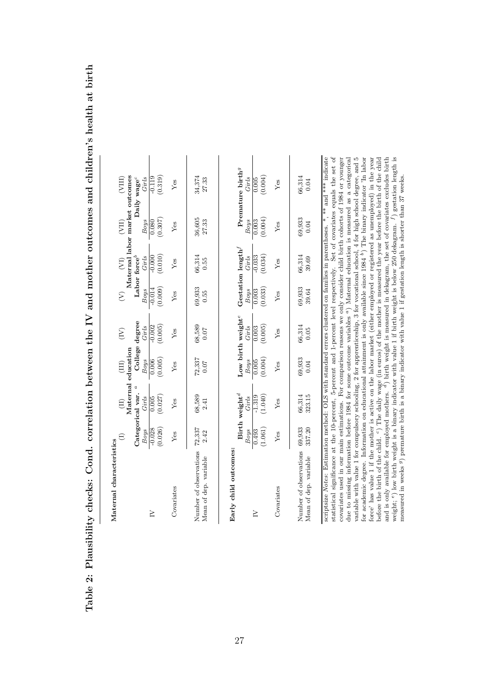| Maternal characteristics                                                                                                                                                                                                                                                                                                                                                                                                                                                                                                        | $\ominus$        | $\Xi$                      | $\Xi$                                             | $\left(\sum_{i=1}^{n} a_i\right)$ | $\hat{\epsilon}$   | $\left( \overline{\Sigma}\right)$ | (III)                          | $\rm (VIII)$                          |
|---------------------------------------------------------------------------------------------------------------------------------------------------------------------------------------------------------------------------------------------------------------------------------------------------------------------------------------------------------------------------------------------------------------------------------------------------------------------------------------------------------------------------------|------------------|----------------------------|---------------------------------------------------|-----------------------------------|--------------------|-----------------------------------|--------------------------------|---------------------------------------|
|                                                                                                                                                                                                                                                                                                                                                                                                                                                                                                                                 | Categorical var. | Maternal education         | College degree                                    |                                   |                    | Labor force <sup>b</sup>          | Maternal labor market outcomes |                                       |
|                                                                                                                                                                                                                                                                                                                                                                                                                                                                                                                                 | <b>Boys</b>      | Girls                      | <b>Boys</b>                                       | Girls                             | <b>Boys</b>        | Girls                             | Boys                           | Daily wage <sup>c</sup><br>Girls      |
| $\geq$                                                                                                                                                                                                                                                                                                                                                                                                                                                                                                                          | $-0.028$         | 0.005                      | 0.006                                             | $-0.002$                          | $-0.014$           | $-0.000$                          | 0.080                          | $-0.119$                              |
|                                                                                                                                                                                                                                                                                                                                                                                                                                                                                                                                 | (0.026)          | (0.027)                    | (0.005)                                           | (0.005)                           | (0.009)            | (0.010)                           | (0.307)                        | (0.319)                               |
| Covariates                                                                                                                                                                                                                                                                                                                                                                                                                                                                                                                      | Yes              | Yes                        | Yes                                               | Yes                               | Yes                | Yes                               | Yes                            | Yes                                   |
| Number of observations<br>Mean of dep. variable                                                                                                                                                                                                                                                                                                                                                                                                                                                                                 | 72,337<br>2.42   | 68,589<br>2.41             | 72,337<br>0.07                                    | 68,589<br>0.07                    | 69,933<br>0.55     | 66,314<br>0.55                    | 36,605<br>27.33                | 34,374<br>27.33                       |
| Early child outcomes:                                                                                                                                                                                                                                                                                                                                                                                                                                                                                                           | $\mathcal{B}ogs$ | Birth weight $^d$<br>Girls | Low birth weight <sup>e</sup><br>$\mathcal{B}ogs$ | Girls                             | Boys               | Gestation length $^f$<br>Girls    | <b>Boys</b>                    | Premature birth <sup>9</sup><br>Girls |
| $\geq$                                                                                                                                                                                                                                                                                                                                                                                                                                                                                                                          | 0.493            | $-1.319$                   | $\frac{0.005}{0}$                                 | 0.003                             | $\overline{0.003}$ | $-0.033$                          | 0.003                          | $\frac{0.005}{0}$                     |
|                                                                                                                                                                                                                                                                                                                                                                                                                                                                                                                                 | (1.061)          | (1.040)                    | (0.004)                                           | (0.005)                           | (0.033)            | (0.034)                           | (0.004)                        | (0.004)                               |
| Covariates                                                                                                                                                                                                                                                                                                                                                                                                                                                                                                                      | Yes              | Yes                        | Yes                                               | Ýes                               | Yes                | Yes                               | Yes                            | Yes                                   |
| Number of observations 69,933<br>Mean of dep. variable                                                                                                                                                                                                                                                                                                                                                                                                                                                                          | 337.20           | 66,314<br>323.15           | 69,933<br>0.04                                    | 66,314<br>0.05                    | 69,933<br>39.64    | 66,314<br>39.69                   | 69,933<br>0.04                 | 66,314<br>0.04                        |
| scriptsize Notes: Estimation method: OLS with standard errors clustered on families in parentheses. *, ** and *** indicate<br>statistical significance at the 10-percent, 5-percent and 1-percent level respectively. Set of covariates equals the set of<br>covariates used in our main estimations. For comparison reasons we only consider child birth cohorts of 1984 or younger                                                                                                                                            |                  |                            |                                                   |                                   |                    |                                   |                                |                                       |
| variable with value 1 for compulsory schooling, 2 for apprenticeship, 3 for vocational school, 4 for high school degree, and 5<br>for academic degree. Information on educational attainment is only available since 1984 $^b$ ) The binary indicator 'In labor<br>force' has value 1 if the mother is active on the labor market (either employed or registered as unemployed) in the year<br>due to missing information before 1984 for some outcome variables <sup>a</sup> ) Maternal education is measured as a categorical |                  |                            |                                                   |                                   |                    |                                   |                                |                                       |

Table 2: Plausibility checks: Cond. correlation between the IV and mother outcomes and children's health at birth Table 2: Plausibility checks: Cond. correlation between the IV and mother outcomes and children's health at birth

weight;

measured in weeks

e) low birth weight is a binary indicator with value 1 if birth weight is below 250 dekagram.

g) premature birth is a binary indicator with value 1 if gestation length is shorter than 37 weeks.

 $\overline{\phantom{a}}$ 

 $^{\prime}$  ) gestation length is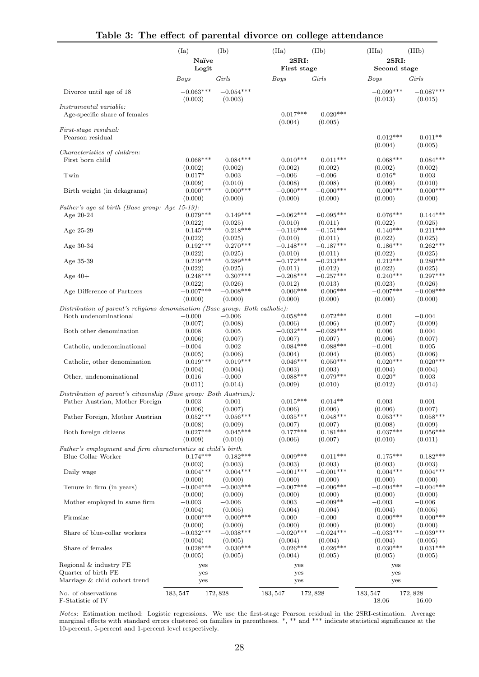|                                                                                                       | (Ia)                           | $(\mathrm{Ib})$                | (IIa)                               | (IIb)                              | (IIIa)                         | (IIIb)                         |
|-------------------------------------------------------------------------------------------------------|--------------------------------|--------------------------------|-------------------------------------|------------------------------------|--------------------------------|--------------------------------|
|                                                                                                       | Naïve<br>Logit                 |                                | 2SRI:<br>First stage                |                                    | 2SRI:<br>Second stage          |                                |
|                                                                                                       | Boys                           | Girls                          | Boys                                | Girls                              | Boys                           | Girls                          |
| Divorce until age of 18                                                                               | $-0.063***$<br>(0.003)         | $-0.054***$<br>(0.003)         |                                     |                                    | $-0.099***$<br>(0.013)         | $-0.087***$<br>(0.015)         |
| Instrumental variable:<br>Age-specific share of females                                               |                                |                                | $0.017***$<br>(0.004)               | $0.020***$<br>(0.005)              |                                |                                |
| <i>First-stage residual:</i><br>Pearson residual                                                      |                                |                                |                                     |                                    | $0.012***$                     | $0.011**$                      |
| <i>Characteristics of children:</i><br>First born child                                               | $0.068***$                     | $0.084***$                     | $0.010***$                          | $0.011***$                         | (0.004)<br>$0.068***$          | (0.005)<br>$0.084***$          |
| Twin                                                                                                  | (0.002)                        | (0.002)                        | (0.002)                             | (0.002)                            | (0.002)                        | (0.002)                        |
|                                                                                                       | $0.017*$                       | 0.003                          | $-0.006$                            | $-0.006$                           | $0.016*$                       | 0.003                          |
| Birth weight (in dekagrams)                                                                           | (0.009)                        | (0.010)                        | (0.008)                             | (0.008)                            | (0.009)                        | (0.010)                        |
|                                                                                                       | $0.000***$                     | $0.000***$                     | $-0.000***$                         | $-0.000***$                        | $0.000***$                     | $0.000***$                     |
|                                                                                                       | (0.000)                        | (0.000)                        | (0.000)                             | (0.000)                            | (0.000)                        | (0.000)                        |
| Father's age at birth (Base group: Age 15-19):<br>Age 20-24                                           | $0.079***$                     | $0.149***$                     | $-0.062***$                         | $-0.095***$                        | $0.076***$                     | $0.144***$                     |
| Age $25-29$                                                                                           | (0.022)                        | (0.025)                        | (0.010)                             | (0.011)                            | (0.022)                        | (0.025)                        |
|                                                                                                       | $0.145***$                     | $0.218***$                     | $-0.116***$                         | $-0.151***$                        | $0.140***$                     | $0.211***$                     |
| Age 30-34                                                                                             | (0.022)                        | (0.025)                        | (0.010)                             | (0.011)                            | (0.022)                        | (0.025)                        |
|                                                                                                       | $0.192***$                     | $0.270***$                     | $-0.148***$                         | $-0.187***$                        | $0.186***$                     | $0.262***$                     |
|                                                                                                       | (0.022)                        | (0.025)                        | (0.010)                             | (0.011)                            | (0.022)                        | (0.025)                        |
| Age 35-39                                                                                             | $0.219***$                     | $0.289***$                     | $-0.172***$                         | $-0.213***$                        | $0.212***$                     | $0.280***$                     |
|                                                                                                       | (0.022)                        | (0.025)                        | (0.011)                             | (0.012)                            | (0.022)                        | (0.025)                        |
| Age $40+$                                                                                             | $0.248***$                     | $0.307***$                     | $-0.208***$                         | $-0.257***$                        | $0.240***$                     | $0.297***$                     |
|                                                                                                       | (0.022)                        | (0.026)                        | (0.012)                             | (0.013)                            | (0.023)                        | (0.026)                        |
| Age Difference of Partners                                                                            | $-0.007***$                    | $-0.008***$                    | $0.006***$                          | $0.006***$                         | $-0.007***$                    | $-0.008***$                    |
|                                                                                                       | (0.000)                        | (0.000)                        | (0.000)                             | (0.000)                            | (0.000)                        | (0.000)                        |
| Distribution of parent's religious denomination (Base group: Both catholic):<br>Both undenominational | $-0.000$                       | $-0.006$                       | $0.058***$                          | $0.072***$                         | 0.001                          | $-0.004$                       |
| Both other denomination                                                                               | (0.007)                        | (0.008)                        | (0.006)                             | (0.006)                            | (0.007)                        | (0.009)                        |
|                                                                                                       | 0.008                          | 0.005                          | $-0.032***$                         | $-0.029***$                        | 0.006                          | 0.004                          |
|                                                                                                       | (0.006)                        | (0.007)                        | (0.007)                             | (0.007)                            | (0.006)                        | (0.007)                        |
| Catholic, undenominational                                                                            | $-0.004$                       | 0.002                          | $0.084***$                          | $0.088***$                         | $-0.001$                       | 0.005                          |
|                                                                                                       | (0.005)                        | (0.006)                        | (0.004)                             | (0.004)                            | (0.005)                        | (0.006)                        |
| Catholic, other denomination                                                                          | $0.019***$                     | $0.019***$                     | $0.046***$                          | $0.050***$                         | $0.020***$                     | $0.020***$                     |
|                                                                                                       | (0.004)                        | (0.004)                        | (0.003)                             | (0.003)                            | (0.004)                        | (0.004)                        |
| Other, undenominational                                                                               | 0.016                          | $-0.000$                       | $0.088***$                          | $0.079***$                         | $0.020*$                       | 0.003                          |
|                                                                                                       | (0.011)                        | (0.014)                        | (0.009)                             | (0.010)                            | (0.012)                        | (0.014)                        |
| Distribution of parent's citizenship (Base group: Both Austrian):                                     |                                |                                |                                     |                                    |                                |                                |
| Father Austrian, Mother Foreign<br>Father Foreign, Mother Austrian                                    | 0.003<br>(0.006)<br>$0.052***$ | 0.001<br>(0.007)<br>$0.056***$ | $0.015***$<br>(0.006)<br>$0.035***$ | $0.014**$<br>(0.006)<br>$0.048***$ | 0.003<br>(0.006)<br>$0.053***$ | 0.001<br>(0.007)<br>$0.058***$ |
| Both foreign citizens                                                                                 | (0.008)                        | (0.009)                        | (0.007)                             | (0.007)                            | (0.008)                        | (0.009)                        |
|                                                                                                       | $0.027***$                     | $0.045***$                     | $0.177***$                          | $0.181***$                         | $0.037***$                     | $0.056***$                     |
| Father's employment and firm characteristics at child's birth                                         | (0.009)                        | (0.010)                        | (0.006)                             | (0.007)                            | (0.010)                        | (0.011)                        |
| Blue Collar Worker                                                                                    | $-0.174***$                    | $-0.182***$                    | $-0.009***$                         | $-0.011***$                        | $-0.175***$                    | $-0.182***$                    |
|                                                                                                       | (0.003)                        | (0.003)                        | (0.003)                             | (0.003)                            | (0.003)                        | (0.003)                        |
| Daily wage                                                                                            | $0.004***$                     | $0.004***$                     | $-0.001***$                         | $-0.001***$                        | $0.004***$                     | $0.004***$                     |
|                                                                                                       | (0.000)                        | (0.000)                        | (0.000)                             | (0.000)                            | (0.000)                        | (0.000)                        |
| Tenure in firm (in years)                                                                             | $-0.004***$                    | $-0.003***$                    | $-0.007***$                         | $-0.006***$                        | $-0.004***$                    | $-0.004***$                    |
|                                                                                                       | (0.000)                        | (0.000)                        | (0.000)                             | (0.000)                            | (0.000)                        | (0.000)                        |
| Mother employed in same firm                                                                          | $-0.003$                       | $-0.006$                       | 0.003                               | $-0.009**$                         | $-0.003$                       | $-0.006$                       |
|                                                                                                       | (0.004)                        | (0.005)                        | (0.004)                             | (0.004)                            | (0.004)                        | (0.005)                        |
| Firmsize                                                                                              | $0.000***$                     | $0.000***$                     | 0.000                               | $-0.000$                           | $0.000***$                     | $0.000***$                     |
|                                                                                                       | (0.000)                        | (0.000)                        | (0.000)                             | (0.000)                            | (0.000)                        | (0.000)                        |
| Share of blue-collar workers                                                                          | $-0.032***$                    | $-0.038***$                    | $-0.020***$                         | $-0.024***$                        | $-0.033***$                    | $-0.039***$                    |
|                                                                                                       | (0.004)                        | (0.005)                        | (0.004)                             | (0.004)                            | (0.004)                        | (0.005)                        |
| Share of females                                                                                      | $0.028***$                     | $0.030***$                     | $0.026***$                          | $0.026***$                         | $0.030***$                     | $0.031***$                     |
|                                                                                                       | (0.005)                        | (0.005)                        | (0.004)                             | (0.005)                            | (0.005)                        | (0.005)                        |
| Regional & industry FE<br>Quarter of birth FE<br>Marriage & child cohort trend                        | yes<br>yes<br>yes              |                                | yes<br>yes<br>yes                   |                                    | yes<br>yes<br>yes              |                                |
| No. of observations<br>F-Statistic of IV                                                              | 183, 547                       | 172,828                        | 183, 547                            | 172,828                            | 183, 547<br>18.06              | 172,828<br>16.00               |

#### Table 3: The effect of parental divorce on college attendance

Notes: Estimation method: Logistic regressions. We use the first-stage Pearson residual in the 2SRI-estimation. Average marginal effects with standard errors clustered on families in parentheses. \*, \*\* and \*\*\* indicate statistical significance at the 10-percent, 5-percent and 1-percent level respectively.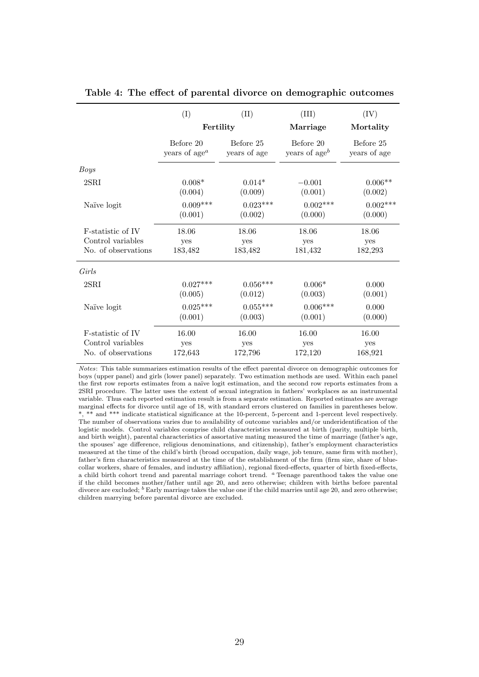|                     | (I)                       | (II)         | (III)            | $(\mathrm{IV})$ |
|---------------------|---------------------------|--------------|------------------|-----------------|
|                     | Fertility                 |              | Marriage         | Mortality       |
|                     | Before 20                 | Before 25    | Before 20        | Before 25       |
|                     | years of age <sup>a</sup> | years of age | years of age $b$ | years of age    |
| Boys                |                           |              |                  |                 |
| $2$ SRI             | $0.008*$                  | $0.014*$     | $-0.001$         | $0.006**$       |
|                     | (0.004)                   | (0.009)      | (0.001)          | (0.002)         |
| Naïve logit         | $0.009***$                | $0.023***$   | $0.002***$       | $0.002***$      |
|                     | (0.001)                   | (0.002)      | (0.000)          | (0.000)         |
| F-statistic of IV   | 18.06                     | 18.06        | 18.06            | 18.06           |
| Control variables   | yes                       | yes          | yes              | yes             |
| No. of observations | 183,482                   | 183,482      | 181,432          | 182,293         |
| Girls               |                           |              |                  |                 |
| $2$ SRI             | $0.027***$                | $0.056***$   | $0.006*$         | 0.000           |
|                     | (0.005)                   | (0.012)      | (0.003)          | (0.001)         |
| Naïve logit         | $0.025***$                | $0.055***$   | $0.006***$       | 0.000           |
|                     | (0.001)                   | (0.003)      | (0.001)          | (0.000)         |
| F-statistic of IV   | 16.00                     | 16.00        | 16.00            | 16.00           |
| Control variables   | yes                       | yes          | yes              | yes             |
| No. of observations | 172,643                   | 172,796      | 172,120          | 168,921         |

#### Table 4: The effect of parental divorce on demographic outcomes

Notes: This table summarizes estimation results of the effect parental divorce on demographic outcomes for boys (upper panel) and girls (lower panel) separately. Two estimation methods are used. Within each panel the first row reports estimates from a naïve logit estimation, and the second row reports estimates from a 2SRI procedure. The latter uses the extent of sexual integration in fathers' workplaces as an instrumental variable. Thus each reported estimation result is from a separate estimation. Reported estimates are average marginal effects for divorce until age of 18, with standard errors clustered on families in parentheses below. \*, \*\* and \*\*\* indicate statistical significance at the 10-percent, 5-percent and 1-percent level respectively. The number of observations varies due to availability of outcome variables and/or underidentification of the logistic models. Control variables comprise child characteristics measured at birth (parity, multiple birth, and birth weight), parental characteristics of assortative mating measured the time of marriage (father's age, the spouses' age difference, religious denominations, and citizenship), father's employment characteristics measured at the time of the child's birth (broad occupation, daily wage, job tenure, same firm with mother), father's firm characteristics measured at the time of the establishment of the firm (firm size, share of bluecollar workers, share of females, and industry affiliation), regional fixed-effects, quarter of birth fixed-effects, a child birth cohort trend and parental marriage cohort trend. <sup>a</sup> Teenage parenthood takes the value one if the child becomes mother/father until age 20, and zero otherwise; children with births before parental divorce are excluded;  $<sup>b</sup>$  Early marriage takes the value one if the child marries until age 20, and zero otherwise;</sup> children marrying before parental divorce are excluded.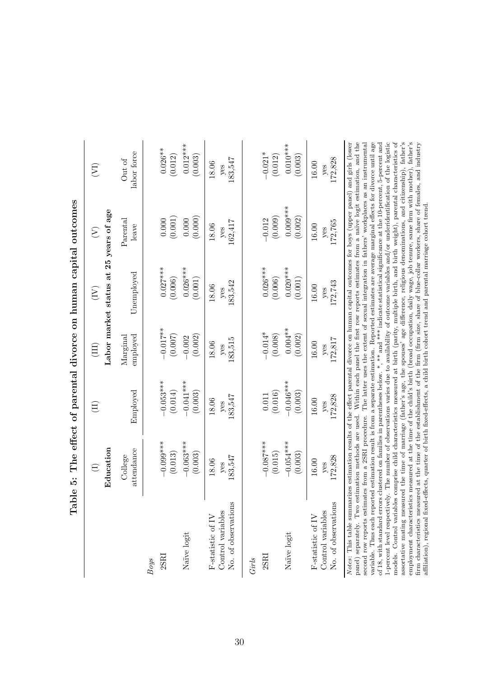| Table                                                                                                                                                                                                                                                                                                                                                                                                                                                                                                                                                                                                                                                                                                                                                                                                                                                                                                                                                                                                                                                                                                                                                                                                                                                                                                                                                                                                                                                                                                                                                                                  | <u>່ທີ່</u>            |                            |                              | The effect of parental divorce on human capital outcomes                                 |                           |                                |
|----------------------------------------------------------------------------------------------------------------------------------------------------------------------------------------------------------------------------------------------------------------------------------------------------------------------------------------------------------------------------------------------------------------------------------------------------------------------------------------------------------------------------------------------------------------------------------------------------------------------------------------------------------------------------------------------------------------------------------------------------------------------------------------------------------------------------------------------------------------------------------------------------------------------------------------------------------------------------------------------------------------------------------------------------------------------------------------------------------------------------------------------------------------------------------------------------------------------------------------------------------------------------------------------------------------------------------------------------------------------------------------------------------------------------------------------------------------------------------------------------------------------------------------------------------------------------------------|------------------------|----------------------------|------------------------------|------------------------------------------------------------------------------------------|---------------------------|--------------------------------|
|                                                                                                                                                                                                                                                                                                                                                                                                                                                                                                                                                                                                                                                                                                                                                                                                                                                                                                                                                                                                                                                                                                                                                                                                                                                                                                                                                                                                                                                                                                                                                                                        | $\bigoplus$            | $\left( \mathrm{I}\right)$ | (III)                        | $\left(\overline{\mathrm{1N}}\right)$                                                    | $\widehat{\mathcal{E}}$   | $\widehat{\Sigma}$             |
|                                                                                                                                                                                                                                                                                                                                                                                                                                                                                                                                                                                                                                                                                                                                                                                                                                                                                                                                                                                                                                                                                                                                                                                                                                                                                                                                                                                                                                                                                                                                                                                        | Education              |                            |                              | Labor market status at 25 years of age                                                   |                           |                                |
|                                                                                                                                                                                                                                                                                                                                                                                                                                                                                                                                                                                                                                                                                                                                                                                                                                                                                                                                                                                                                                                                                                                                                                                                                                                                                                                                                                                                                                                                                                                                                                                        | attendance<br>College  | Employed                   | employed<br>${\rm Marginal}$ | Unemployed                                                                               | $\rm {Parental}$<br>leave | labor force<br>$\hbox{Out of}$ |
| <b>Boys</b>                                                                                                                                                                                                                                                                                                                                                                                                                                                                                                                                                                                                                                                                                                                                                                                                                                                                                                                                                                                                                                                                                                                                                                                                                                                                                                                                                                                                                                                                                                                                                                            |                        |                            |                              |                                                                                          |                           |                                |
| 2SRI                                                                                                                                                                                                                                                                                                                                                                                                                                                                                                                                                                                                                                                                                                                                                                                                                                                                                                                                                                                                                                                                                                                                                                                                                                                                                                                                                                                                                                                                                                                                                                                   | $-0.099***$<br>(0.013) | $-0.053***$<br>(0.014)     | $-0.017**$<br>(0.007)        | $0.027***$<br>(0.006)                                                                    | (0.001)<br>0.000          | $0.026**$<br>(0.012)           |
|                                                                                                                                                                                                                                                                                                                                                                                                                                                                                                                                                                                                                                                                                                                                                                                                                                                                                                                                                                                                                                                                                                                                                                                                                                                                                                                                                                                                                                                                                                                                                                                        |                        |                            |                              |                                                                                          |                           |                                |
| Naïve logit                                                                                                                                                                                                                                                                                                                                                                                                                                                                                                                                                                                                                                                                                                                                                                                                                                                                                                                                                                                                                                                                                                                                                                                                                                                                                                                                                                                                                                                                                                                                                                            | $-0.063***$            | $-0.041***$                | $-0.002$                     | $0.026***$                                                                               | 0.000                     | $0.012***$                     |
|                                                                                                                                                                                                                                                                                                                                                                                                                                                                                                                                                                                                                                                                                                                                                                                                                                                                                                                                                                                                                                                                                                                                                                                                                                                                                                                                                                                                                                                                                                                                                                                        | (0.003)                | (0.003)                    | (0.002)                      | (0.001)                                                                                  | (0.000)                   | (0.003)                        |
| F-statistic of IV                                                                                                                                                                                                                                                                                                                                                                                                                                                                                                                                                                                                                                                                                                                                                                                                                                                                                                                                                                                                                                                                                                                                                                                                                                                                                                                                                                                                                                                                                                                                                                      | 18.06                  | 18.06                      | 18.06                        | 18.06                                                                                    | 18.06                     | 18.06                          |
| Control variables                                                                                                                                                                                                                                                                                                                                                                                                                                                                                                                                                                                                                                                                                                                                                                                                                                                                                                                                                                                                                                                                                                                                                                                                                                                                                                                                                                                                                                                                                                                                                                      | $y$ es                 | yes                        | yes                          | yes                                                                                      | yes                       | yes                            |
| No. of observations                                                                                                                                                                                                                                                                                                                                                                                                                                                                                                                                                                                                                                                                                                                                                                                                                                                                                                                                                                                                                                                                                                                                                                                                                                                                                                                                                                                                                                                                                                                                                                    | 183,547                | 183,547                    | 183,515                      | 183,542                                                                                  | 162,417                   | 183,547                        |
| Girls                                                                                                                                                                                                                                                                                                                                                                                                                                                                                                                                                                                                                                                                                                                                                                                                                                                                                                                                                                                                                                                                                                                                                                                                                                                                                                                                                                                                                                                                                                                                                                                  |                        |                            |                              |                                                                                          |                           |                                |
| 2SRI                                                                                                                                                                                                                                                                                                                                                                                                                                                                                                                                                                                                                                                                                                                                                                                                                                                                                                                                                                                                                                                                                                                                                                                                                                                                                                                                                                                                                                                                                                                                                                                   | $-0.087***$            | 0.011                      | $-0.014*$                    | $0.026***$                                                                               | $-0.012$                  | $-0.021*$                      |
|                                                                                                                                                                                                                                                                                                                                                                                                                                                                                                                                                                                                                                                                                                                                                                                                                                                                                                                                                                                                                                                                                                                                                                                                                                                                                                                                                                                                                                                                                                                                                                                        | (0.015)                | (0.016)                    | (0.008)                      | (0.006)                                                                                  | (0.009)                   | (0.012)                        |
| Naive logit                                                                                                                                                                                                                                                                                                                                                                                                                                                                                                                                                                                                                                                                                                                                                                                                                                                                                                                                                                                                                                                                                                                                                                                                                                                                                                                                                                                                                                                                                                                                                                            | $-0.054***$            | $-0.046***$                | $0.004***$                   | $0.020***$                                                                               | $0.009***$                | $0.010***$                     |
|                                                                                                                                                                                                                                                                                                                                                                                                                                                                                                                                                                                                                                                                                                                                                                                                                                                                                                                                                                                                                                                                                                                                                                                                                                                                                                                                                                                                                                                                                                                                                                                        | (0.003)                | (0.003)                    | (0.002)                      | (0.001)                                                                                  | (0.002)                   | (0.003)                        |
| F-statistic of IV                                                                                                                                                                                                                                                                                                                                                                                                                                                                                                                                                                                                                                                                                                                                                                                                                                                                                                                                                                                                                                                                                                                                                                                                                                                                                                                                                                                                                                                                                                                                                                      | $16.00\,$              | $16.00$                    | 16.00                        | 16.00                                                                                    | 16.00                     | 16.00                          |
| Control variables                                                                                                                                                                                                                                                                                                                                                                                                                                                                                                                                                                                                                                                                                                                                                                                                                                                                                                                                                                                                                                                                                                                                                                                                                                                                                                                                                                                                                                                                                                                                                                      | $y$ es                 | yes                        | $y$ es                       | yes                                                                                      | $y$ es                    | yes                            |
| No. of observations                                                                                                                                                                                                                                                                                                                                                                                                                                                                                                                                                                                                                                                                                                                                                                                                                                                                                                                                                                                                                                                                                                                                                                                                                                                                                                                                                                                                                                                                                                                                                                    | 172,828                | 172,828                    | 172,817                      | 172,743                                                                                  | 172,765                   | 172,828                        |
| 1-percent level respectively. The number of observations varies due to availability of outcome variables and/or underidentification of the logistic<br>models. Control variables comprise child characteristics measured at birth (parity, multiple birth, and birth weight), parental characteristics of<br>assortative mating measured the time of marriage (father's age, the spouses' age difference, religious denominations, and citizenship), father's<br>variable. Thus each reported estimation result is from a separate estimation. Reported estimates are average marginal effects for divorce until age<br>Notes: This table summarizes estimation results of the effect parental divorce on human capital outcomes for boys (upper panel) and girls (lower<br>of 18, with standard errors clustered on families in parentheses below. *, ** and *** indicate statistical significance at the 10-percent, 5-percent and<br>second row reports estimates from a 2SRI procedure. The latter uses the extent of sexual integration in fathers' workplaces as an instrumental<br>firm characteristics measured at the time of the establishment of the firm (firm size, share of blue-collar workers, share of females, and industry<br>employment characteristics measured at the time of the child's birth (broad occupation, daily wage, job tenure, same firm with mother)<br>affiliation), regional fixed-effects, quarter of birth fixed-effects, a child birth cohort trend and parental marriage cohort trend.<br>panel) separately. Two estimation methods are used. |                        |                            |                              | Within each panel the first row reports estimates from a naive logit estimation, and the |                           | father's                       |

 $\frac{1}{2}$  $\ddot{x}$ نې<br>د  $t_{\alpha}$ l $\alpha$ <sup>+</sup>  $\ddot{ }$  $\overline{a}$ र्भ  $\tilde{\mathsf{F}}$ Ι.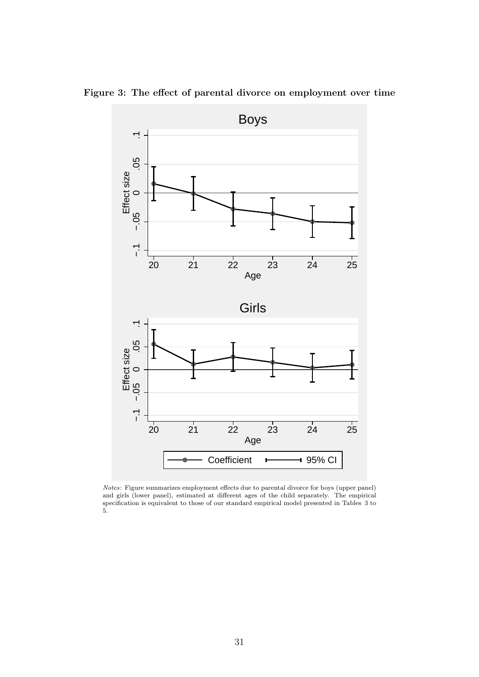

Figure 3: The effect of parental divorce on employment over time

Notes: Figure summarizes employment effects due to parental divorce for boys (upper panel) and girls (lower panel), estimated at different ages of the child separately. The empirical specification is equivalent to those of our standard empirical model presented in Tables 3 to 5.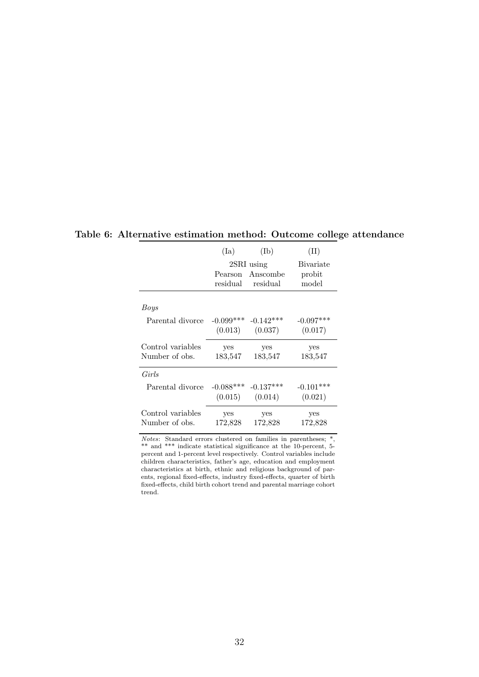|                   | (Ia)        | $(\mathrm{Ib})$              | $(\mathrm{II})$   |
|-------------------|-------------|------------------------------|-------------------|
|                   |             | 2SRI using                   | <b>B</b> ivariate |
|                   | residual    | Pearson Anscombe<br>residual | probit<br>model   |
| Boys              |             |                              |                   |
| Parental divorce  | $-0.099***$ | $-0.142***$                  | $-0.097***$       |
|                   | (0.013)     | (0.037)                      | (0.017)           |
| Control variables | yes         | yes                          | yes               |
| Number of obs.    | 183,547     | 183,547                      | 183,547           |
|                   |             |                              |                   |
| Girls             |             |                              |                   |
| Parental divorce  | $-0.088***$ | $-0.137***$                  | $-0.101***$       |
|                   | (0.015)     | (0.014)                      | (0.021)           |
| Control variables | yes         | yes                          | yes               |

Table 6: Alternative estimation method: Outcome college attendance

Notes: Standard errors clustered on families in parentheses; \*, \*\* and \*\*\* indicate statistical significance at the 10-percent, 5 percent and 1-percent level respectively. Control variables include children characteristics, father's age, education and employment characteristics at birth, ethnic and religious background of parents, regional fixed-effects, industry fixed-effects, quarter of birth fixed-effects, child birth cohort trend and parental marriage cohort trend.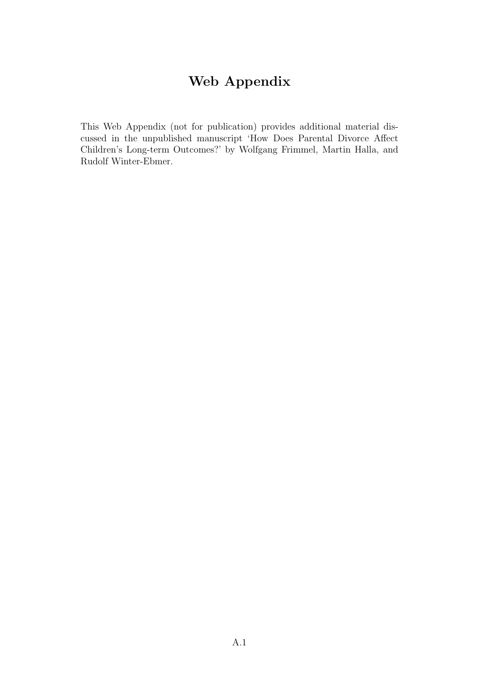# Web Appendix

This Web Appendix (not for publication) provides additional material discussed in the unpublished manuscript 'How Does Parental Divorce Affect Children's Long-term Outcomes?' by Wolfgang Frimmel, Martin Halla, and Rudolf Winter-Ebmer.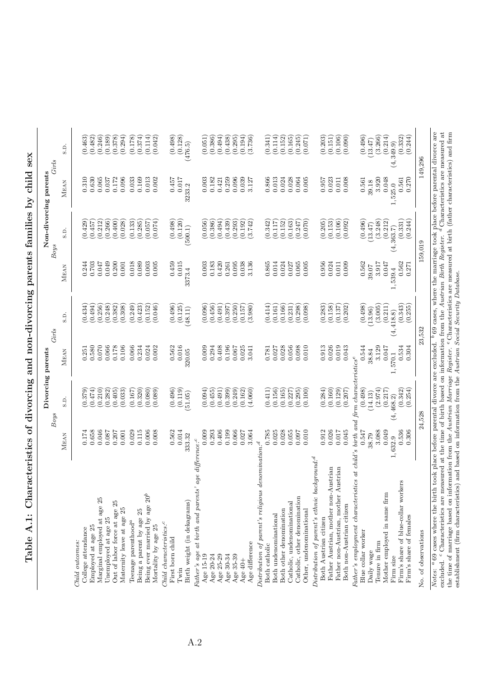| ï             |
|---------------|
|               |
| $\frac{1}{2}$ |
|               |
|               |
| ていしょう こうしょう   |
|               |
| י             |
|               |
|               |
|               |
| I<br>١        |

|                                                                                                                                                                                                                                                                                                                                                                                                                                                                                                                       |                |                                                                        | Divorcing parents |                    |                |                                                           | Non-divorcing parents |                      |
|-----------------------------------------------------------------------------------------------------------------------------------------------------------------------------------------------------------------------------------------------------------------------------------------------------------------------------------------------------------------------------------------------------------------------------------------------------------------------------------------------------------------------|----------------|------------------------------------------------------------------------|-------------------|--------------------|----------------|-----------------------------------------------------------|-----------------------|----------------------|
|                                                                                                                                                                                                                                                                                                                                                                                                                                                                                                                       |                | <b>Boys</b>                                                            |                   | Girls              |                | <b>Boys</b>                                               |                       | Girls                |
|                                                                                                                                                                                                                                                                                                                                                                                                                                                                                                                       | <b>MEAN</b>    | S.D.                                                                   | <b>MEAN</b>       | S.D.               | MEAN           | S.D.                                                      | MEAN                  | S.D.                 |
| Child outcomes:                                                                                                                                                                                                                                                                                                                                                                                                                                                                                                       |                |                                                                        |                   |                    |                |                                                           |                       |                      |
| College attendance                                                                                                                                                                                                                                                                                                                                                                                                                                                                                                    | 0.174          | (0.379)                                                                | 0.251             | (0.434)            | 0.244          | (0.429)                                                   | 0.310                 | (0.463)              |
| Employed at age 25                                                                                                                                                                                                                                                                                                                                                                                                                                                                                                    | 0.658          | (0.474)                                                                | 0.580             | (0.494)            | 0.703          | (0.457)                                                   | 0.630                 | (0.482)              |
| Marginal employed at age 25                                                                                                                                                                                                                                                                                                                                                                                                                                                                                           | 0.046          | (0.210)                                                                | 0.070             | (0.256)            | 0.047          | (0.212)                                                   | 0.065                 | (0.246)              |
| Unemployed at age 25                                                                                                                                                                                                                                                                                                                                                                                                                                                                                                  | 0.087          | (0.282)                                                                | 0.066             | (0.248)            | 0.049          | (0.266)                                                   | 0.037                 | (0.189)              |
| Out of labor force at age 25                                                                                                                                                                                                                                                                                                                                                                                                                                                                                          | 0.207          | (0.405)                                                                | 0.178             | (0.382)            | 0.200          | (0.400)                                                   | 0.172                 | (0.378)              |
| Maternity leave at age 25                                                                                                                                                                                                                                                                                                                                                                                                                                                                                             | 0.001          | (0.033)                                                                | 0.106             | (0.308)            | 0.001          | (0.028)                                                   | 0.096                 | (0.294)              |
| Teenage parenthood <sup>a</sup>                                                                                                                                                                                                                                                                                                                                                                                                                                                                                       | 0.029          | (0.167)                                                                | 0.066             | (0.249)            | 0.018          | (0.133)                                                   | 0.033                 | (0.178)              |
| Being a parent by age 25                                                                                                                                                                                                                                                                                                                                                                                                                                                                                              | 0.115          | (0.320)                                                                | 0.234             | (0.423)            | 0.089          | (0.285)                                                   | 0.169                 | (0.374)              |
| Being ever married by age 20 <sup>b</sup>                                                                                                                                                                                                                                                                                                                                                                                                                                                                             | 0.006          | (0.080)                                                                | 0.024             | (0.152)            | 0.003          | (0.057)                                                   | 0.013                 | (0.114)              |
| Mortality by age 25                                                                                                                                                                                                                                                                                                                                                                                                                                                                                                   | 0.008          | (0.089)                                                                | 0.002             | (0.046)            | 0.005          | (0.074)                                                   | 0.002                 | (0.042)              |
| $Child\ characteristics: \begin{tabular}{ll} \textbf{\textit{C}}\\ \textbf{\textit{C}}\\ \textbf{\textit{C}}\\ \textbf{\textit{C}}\\ \textbf{\textit{C}}\\ \textbf{\textit{C}}\\ \textbf{\textit{C}}\\ \textbf{\textit{C}}\\ \textbf{\textit{C}}\\ \textbf{\textit{C}}\\ \textbf{\textit{C}}\\ \textbf{\textit{C}}\\ \textbf{\textit{C}}\\ \textbf{\textit{C}}\\ \textbf{\textit{C}}\\ \textbf{\textit{C}}\\ \textbf{\textit{C}}\\ \textbf{\textit{C}}\\ \textbf{\textit{C}}\\ \textbf{\textit{C}}\\ \textbf{\textit$ |                |                                                                        |                   |                    |                |                                                           |                       |                      |
| First born child                                                                                                                                                                                                                                                                                                                                                                                                                                                                                                      | 0.562          | (0.496)                                                                | 0.562             | (0.496)            | 0.459          | (0.498)                                                   | 0.457                 | (0.498)              |
| Twin                                                                                                                                                                                                                                                                                                                                                                                                                                                                                                                  | 0.014          | (0.119)                                                                | 0.016             | (0.125)            | 0.015          | (0.120)                                                   | 0.017                 | $(0.128)$<br>(476.5) |
| Birth weight (in dekagrams)                                                                                                                                                                                                                                                                                                                                                                                                                                                                                           | 333.32         | (51.05)                                                                | 320.05            | (48.11)            | 3373.4         | (500.1)                                                   | 3233.2                |                      |
| age difference: <sup>c</sup><br>Father's age at birth and parents                                                                                                                                                                                                                                                                                                                                                                                                                                                     |                |                                                                        |                   |                    |                |                                                           |                       |                      |
| Age 15-19                                                                                                                                                                                                                                                                                                                                                                                                                                                                                                             | 0.009          | (0.094)                                                                | 0.009             | (0.096)            | 0.003          | (0.056)                                                   | 0.003                 | (0.051)              |
| Age 20-24                                                                                                                                                                                                                                                                                                                                                                                                                                                                                                             | 0.293          | (0.455)                                                                | 0.294             | (0.456)            | 0.183          | (0.386)                                                   | 0.182                 | (0.386)              |
| Age 25-29                                                                                                                                                                                                                                                                                                                                                                                                                                                                                                             | 0.406          | (0.491)                                                                | 0.408             | (0.491)            | 0.420          | (0.494)                                                   | 0.421                 | (0.494)              |
| Age 30-34                                                                                                                                                                                                                                                                                                                                                                                                                                                                                                             | 0.199          | (0.399)                                                                | 0.196             | (0.397)            | 0.261          | (0.439)                                                   | 0.259                 | (0.438)              |
| Age 35-39                                                                                                                                                                                                                                                                                                                                                                                                                                                                                                             | 0.066          | (0.249)                                                                | 0.067             | (0.250)            | 0.095          | (0.293)                                                   | 0.096                 | (0.295)              |
| Age $40+$                                                                                                                                                                                                                                                                                                                                                                                                                                                                                                             | 0.027          | (0.162)                                                                | 0.025             | (0.157)            | 0.038          | (0.192)                                                   | 0.039                 | (0.194)              |
| Age difference                                                                                                                                                                                                                                                                                                                                                                                                                                                                                                        | 3.064          | (4.060)                                                                | 3.041             | (3.980)            | 3.136          | (3.742)                                                   | 3.127                 | (3.736)              |
| $denomination$ $\hspace{-1.5pt}$<br>Distribution of parent's religious                                                                                                                                                                                                                                                                                                                                                                                                                                                |                |                                                                        |                   |                    |                |                                                           |                       |                      |
| Both catholic                                                                                                                                                                                                                                                                                                                                                                                                                                                                                                         | 0.785          | (0.411)                                                                | 0.781             | (0.414)            | 0.865          | (0.342)                                                   | 0.866                 | (0.341)              |
| Both undenominational                                                                                                                                                                                                                                                                                                                                                                                                                                                                                                 | 0.025          | (0.156)                                                                | 0.027             | (0.161)            | 0.014          | (0.117)                                                   | 0.013                 | (0.114)              |
| Both other denomination                                                                                                                                                                                                                                                                                                                                                                                                                                                                                               | 0.028          | (0.165)                                                                | 0.028             | (0.166)            | 0.024          | (0.152)                                                   | 0.024                 | (0.152)              |
| Catholic, undenominational                                                                                                                                                                                                                                                                                                                                                                                                                                                                                            | 0.055          | (0.227)                                                                | 0.056             | (0.231)            | 0.027          | (0.163)                                                   | 0.028                 | (0.165)              |
| Catholic, other denomination                                                                                                                                                                                                                                                                                                                                                                                                                                                                                          | 0.097          | (0.295)                                                                | 0.098             | (0.298)            | 0.065          | (0.247)                                                   | 0.064                 | (0.245)              |
| Other, undenominational                                                                                                                                                                                                                                                                                                                                                                                                                                                                                               | 0.010          | (0.100)                                                                | 0.010             | (0.098)            | 0.005          | (0.070)                                                   | 0.005                 | (0.071)              |
| Distribution of parent's ethnic background: <sup>d</sup>                                                                                                                                                                                                                                                                                                                                                                                                                                                              |                |                                                                        |                   |                    |                |                                                           |                       |                      |
| Both Austrian citizen                                                                                                                                                                                                                                                                                                                                                                                                                                                                                                 | 0.912          | (0.284)                                                                | 0.913             | (0.283)            | 0.956          | (0.205)                                                   | 0.957                 | (0.203)              |
| Father Austrian, mother non-Austrian                                                                                                                                                                                                                                                                                                                                                                                                                                                                                  | 0.026          | (0.160)                                                                | 0.026             | (0.158)            | 0.024          | (0.153)                                                   | 0.023                 | (0.151)              |
| Father non-Austrian, mother Austrian<br>Both non-Austrian citizen                                                                                                                                                                                                                                                                                                                                                                                                                                                     | 0.017<br>0.045 | (0.129)<br>(0.207)                                                     | 0.019<br>0.043    | (0.202)<br>(0.137) | 0.011<br>0.009 | (0.106)<br>(0.092)                                        | 0.011<br>0.008        | (0.090)<br>(0.106)   |
|                                                                                                                                                                                                                                                                                                                                                                                                                                                                                                                       |                |                                                                        |                   |                    |                |                                                           |                       |                      |
| Father's employment characteristics at child's birth and firm characteristics <sup>e</sup><br>Blue collar worker                                                                                                                                                                                                                                                                                                                                                                                                      | 0.547          | (0.498)                                                                | 0.544             | (0.498)            | 0.562          | (0.496)                                                   | 0.561                 | (0.496)              |
| Daily wage                                                                                                                                                                                                                                                                                                                                                                                                                                                                                                            | 38.79          | (14.13)                                                                | 38.84             | (13.96)            | 39.07          | (13.47)                                                   | 39.18                 | (13.47)              |
| Tenure in firm                                                                                                                                                                                                                                                                                                                                                                                                                                                                                                        | 3.088          | (2.974)                                                                | 3.129             | (3.005)            | 3.917          | (3.248)                                                   | 3.920                 | (3.266)              |
| Mother employed in same firm                                                                                                                                                                                                                                                                                                                                                                                                                                                                                          | 0.049          | (0.217)                                                                | 0.047             | (0.211)            | 0.047          | (0.212)                                                   | 0.048                 | (0.214)              |
| Firm size                                                                                                                                                                                                                                                                                                                                                                                                                                                                                                             | 1,632.9        | (4, 468.2)                                                             | $1,570.1$         | (4, 418.8)         | 1,539.4        | (4, 363.7)                                                | 1,525.0               | (4, 349.9)           |
| Firm's share of blue-collar workers                                                                                                                                                                                                                                                                                                                                                                                                                                                                                   | 0.536          | (0.342)                                                                | 0.534             | (0.343)            | 0.562          | (0.331)                                                   | 0.561                 | (0.332)              |
| Firm's share of females                                                                                                                                                                                                                                                                                                                                                                                                                                                                                               | 0.306          | (0.254)                                                                | 0.304             | (0.255)            | 0.271          | (0.244)                                                   | 0.270                 | (0.244)              |
| No. of observations                                                                                                                                                                                                                                                                                                                                                                                                                                                                                                   |                | 24,528                                                                 |                   | 23,532             |                | 159,019                                                   |                       | 149,296              |
| <i>Notes:</i> $\alpha$ 69 cases where the birth                                                                                                                                                                                                                                                                                                                                                                                                                                                                       |                | took place before parental divorce are excluded. $\frac{b}{69}$ cases. |                   |                    |                | where the marriage took place before parental divorce are |                       |                      |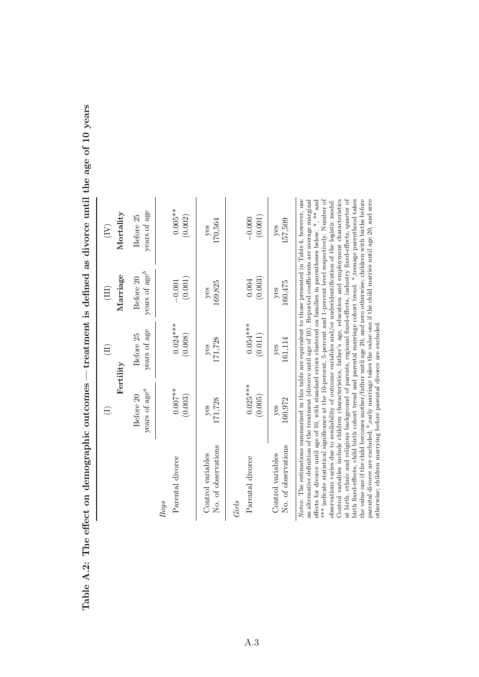|                                                                                                                                                                                                                                                                                                                                                                                                                                                                                                                                                                                                                                                                                                                                                                                                                                                                                                                                                                                                                                                                                                                                                                                                                                                                              |                           | E            | Ξ,                        | $\left(\overline{\mathrm{N}}\right)$ |
|------------------------------------------------------------------------------------------------------------------------------------------------------------------------------------------------------------------------------------------------------------------------------------------------------------------------------------------------------------------------------------------------------------------------------------------------------------------------------------------------------------------------------------------------------------------------------------------------------------------------------------------------------------------------------------------------------------------------------------------------------------------------------------------------------------------------------------------------------------------------------------------------------------------------------------------------------------------------------------------------------------------------------------------------------------------------------------------------------------------------------------------------------------------------------------------------------------------------------------------------------------------------------|---------------------------|--------------|---------------------------|--------------------------------------|
|                                                                                                                                                                                                                                                                                                                                                                                                                                                                                                                                                                                                                                                                                                                                                                                                                                                                                                                                                                                                                                                                                                                                                                                                                                                                              |                           | Fertility    | Marriage                  | ${\rm Morality}$                     |
|                                                                                                                                                                                                                                                                                                                                                                                                                                                                                                                                                                                                                                                                                                                                                                                                                                                                                                                                                                                                                                                                                                                                                                                                                                                                              | years of age <sup>a</sup> | years of age | years of $\mathrm{age}^b$ | years of age                         |
|                                                                                                                                                                                                                                                                                                                                                                                                                                                                                                                                                                                                                                                                                                                                                                                                                                                                                                                                                                                                                                                                                                                                                                                                                                                                              | Before 20                 | Before 25    | Before 20                 | Before 25                            |
| Parental divorce                                                                                                                                                                                                                                                                                                                                                                                                                                                                                                                                                                                                                                                                                                                                                                                                                                                                                                                                                                                                                                                                                                                                                                                                                                                             | $0.007***$                | $0.024***$   | (0.001)                   | $0.005**$                            |
| <b>Boys</b>                                                                                                                                                                                                                                                                                                                                                                                                                                                                                                                                                                                                                                                                                                                                                                                                                                                                                                                                                                                                                                                                                                                                                                                                                                                                  | (0.003)                   | (0.008)      | $-0.001$                  | (0.002)                              |
| No. of observations                                                                                                                                                                                                                                                                                                                                                                                                                                                                                                                                                                                                                                                                                                                                                                                                                                                                                                                                                                                                                                                                                                                                                                                                                                                          | 171,728                   | 171,728      | 169,825                   | 170,564                              |
| Control variables                                                                                                                                                                                                                                                                                                                                                                                                                                                                                                                                                                                                                                                                                                                                                                                                                                                                                                                                                                                                                                                                                                                                                                                                                                                            | yes                       | yes          | yes                       | $y$ es                               |
| Parental divorce                                                                                                                                                                                                                                                                                                                                                                                                                                                                                                                                                                                                                                                                                                                                                                                                                                                                                                                                                                                                                                                                                                                                                                                                                                                             | $0.025***$                | $0.054***$   | (0.003)                   | (0.001)                              |
| Girls                                                                                                                                                                                                                                                                                                                                                                                                                                                                                                                                                                                                                                                                                                                                                                                                                                                                                                                                                                                                                                                                                                                                                                                                                                                                        | (0.005)                   | (0.011)      | 0.004                     | $-0.000$                             |
| No. of observations                                                                                                                                                                                                                                                                                                                                                                                                                                                                                                                                                                                                                                                                                                                                                                                                                                                                                                                                                                                                                                                                                                                                                                                                                                                          | 160,972                   | 161,114      | 160,475                   | 157,509                              |
| Control variables                                                                                                                                                                                                                                                                                                                                                                                                                                                                                                                                                                                                                                                                                                                                                                                                                                                                                                                                                                                                                                                                                                                                                                                                                                                            | yes                       | $y$ es       | $y$ es                    | yes                                  |
| Notes: The estimations summarized in this table are equivalent to those presented in Table 4, however, use<br>*** indicate statistical significance at the 10-percent, 5-percent and 1-percent level respectively. Number of<br>Control variables include children characteristics, father's age, education and employment characteristics<br>birth fixed-effects, child birth cohort trend and parental marriage cohort trend. <sup><i>a</i></sup> , teenage parenthood takes<br>the value one if the child becomes mother/father until age 20, and zero otherwise; children with births before<br>parental divorce are excluded; $b$ , early marriage takes the value one if the child marries until age 20, and zero<br>at birth, ethnic and religious background of parents, regional fixed-effects, industry fixed-effects, quarter of<br>an alternative definition of the treatment (divorce until age of $10$ ). Reported coefficients are average marginal<br>effects for divorce until age of 10, with standard errors clustered on families in parentheses below. *, ** and<br>observations varies due to availability of outcome variables and/or underidentification of the logistic model.<br>otherwise; children marrying before parental divorce are excluded |                           |              |                           |                                      |

Table A.2: The effect on demographic outcomes — treatment is defined as divorce until the age of 10 years Table A.2: The effect on demographic outcomes — treatment is defined as divorce until the age of 10 years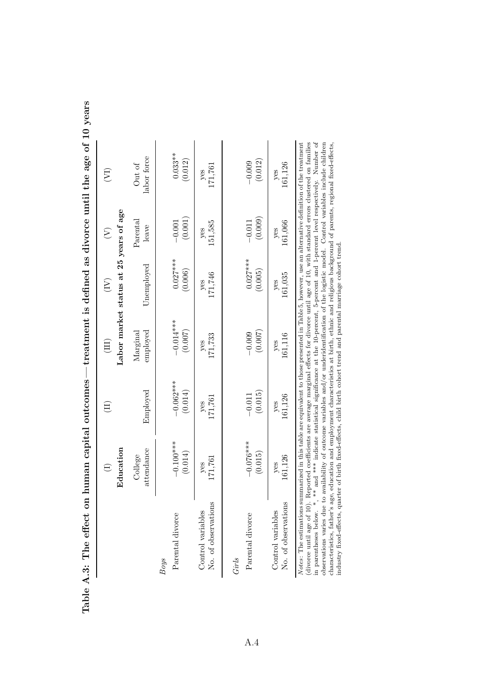| an capital outcomes—treatment is defined as divorce until the age of 10 yea | $\widetilde{(\Sigma)}$ |                                        | abor force<br>Out of            |
|-----------------------------------------------------------------------------|------------------------|----------------------------------------|---------------------------------|
|                                                                             |                        |                                        | Parental<br>leave               |
|                                                                             |                        | Labor market status at 25 years of age | Jnemployed                      |
|                                                                             |                        |                                        | payed<br><i><b>Aarginal</b></i> |
|                                                                             |                        |                                        | Employed                        |
|                                                                             | $\bigoplus$            | Education                              | attendance<br>College           |
| ble A.3: The effect on hum                                                  |                        |                                        |                                 |
|                                                                             |                        |                                        |                                 |

| ţ                                                                                                                                                                                                                                                                                                                                                |
|--------------------------------------------------------------------------------------------------------------------------------------------------------------------------------------------------------------------------------------------------------------------------------------------------------------------------------------------------|
|                                                                                                                                                                                                                                                                                                                                                  |
|                                                                                                                                                                                                                                                                                                                                                  |
| restriction is the second of the interface in the first of the second state of the second state of the second s<br>it is a strip and more than more than the second the second to the second the second second to the second the second second to the second second to the second second to the second second second to the second second second |
|                                                                                                                                                                                                                                                                                                                                                  |
|                                                                                                                                                                                                                                                                                                                                                  |
|                                                                                                                                                                                                                                                                                                                                                  |
|                                                                                                                                                                                                                                                                                                                                                  |
|                                                                                                                                                                                                                                                                                                                                                  |
|                                                                                                                                                                                                                                                                                                                                                  |
|                                                                                                                                                                                                                                                                                                                                                  |
|                                                                                                                                                                                                                                                                                                                                                  |
|                                                                                                                                                                                                                                                                                                                                                  |
|                                                                                                                                                                                                                                                                                                                                                  |
|                                                                                                                                                                                                                                                                                                                                                  |
|                                                                                                                                                                                                                                                                                                                                                  |
| j<br>l                                                                                                                                                                                                                                                                                                                                           |
|                                                                                                                                                                                                                                                                                                                                                  |
| l                                                                                                                                                                                                                                                                                                                                                |
|                                                                                                                                                                                                                                                                                                                                                  |
|                                                                                                                                                                                                                                                                                                                                                  |
|                                                                                                                                                                                                                                                                                                                                                  |
|                                                                                                                                                                                                                                                                                                                                                  |
| こうりょう りゅうしょう しゅうしょう                                                                                                                                                                                                                                                                                                                              |
|                                                                                                                                                                                                                                                                                                                                                  |
|                                                                                                                                                                                                                                                                                                                                                  |
|                                                                                                                                                                                                                                                                                                                                                  |
|                                                                                                                                                                                                                                                                                                                                                  |
|                                                                                                                                                                                                                                                                                                                                                  |
|                                                                                                                                                                                                                                                                                                                                                  |
|                                                                                                                                                                                                                                                                                                                                                  |
|                                                                                                                                                                                                                                                                                                                                                  |
|                                                                                                                                                                                                                                                                                                                                                  |
| -<br>.<br>.<br>֧ׅ֧ׅ֧֧֧֧֛֧֦֧ׅ֧֧ׅ֧֧֧֛ׅ֧֛֧֧֧֧֛֛֧֛֚֚֚֚֚֚֚֚֚֚֚֚֚֚֚֚֚֚֚֚֚֚֚֚֚֚֚֚֚֚֚֬֝֜֝֬֝֓֝֓֜֜֓֝֬֜֜֜֓֝֬֜֜                                                                                                                                                                                                                                              |
|                                                                                                                                                                                                                                                                                                                                                  |
|                                                                                                                                                                                                                                                                                                                                                  |
|                                                                                                                                                                                                                                                                                                                                                  |
|                                                                                                                                                                                                                                                                                                                                                  |
| )<br> <br>                                                                                                                                                                                                                                                                                                                                       |
|                                                                                                                                                                                                                                                                                                                                                  |
| ۱                                                                                                                                                                                                                                                                                                                                                |
|                                                                                                                                                                                                                                                                                                                                                  |
|                                                                                                                                                                                                                                                                                                                                                  |
| Į<br>$\overline{1}$                                                                                                                                                                                                                                                                                                                              |
|                                                                                                                                                                                                                                                                                                                                                  |

|                                                                                                                                                                         | attendance<br>College  | Employed               | employed<br>Margınal   | Unemployed            | $\rm {Parcntal}$<br>leave | labor force<br>Uut of |
|-------------------------------------------------------------------------------------------------------------------------------------------------------------------------|------------------------|------------------------|------------------------|-----------------------|---------------------------|-----------------------|
| Parental divorce<br><b>Boys</b>                                                                                                                                         | $-0.100***$<br>(0.014) | $-0.062***$<br>(0.014) | $-0.014***$<br>(0.007) | $0.027***$<br>(0.006) | (0.001)<br>$-0.001$       | $0.033**$<br>(0.012)  |
| $\overline{\phantom{a}}$<br>No. of observations<br>Control variables                                                                                                    | 171,761<br>$y$ es      | 171,761<br>$y$ es      | 171,733<br>yes         | $\frac{y}{171,746}$   | 151,585<br>yes            | 171,761<br>yes        |
| Parental divorce<br>Girls                                                                                                                                               | $-0.076***$<br>(0.015) | (0.015)<br>$-0.011$    | (0.007)<br>$-0.009$    | $0.027***$<br>(0.005) | (0.009)<br>$-0.011$       | (0.012)<br>$-0.009$   |
| I<br>No. of observations<br>Control variables                                                                                                                           | 161,126<br>yes         | $\frac{yes}{161,126}$  | 161,116<br>$y$ es      | 161,035<br>$y$ es     | $\frac{y}{161,066}$       | 161,126<br>yes        |
| Notes: The estimations summarized in this table are equivalent to those presented in Table 5, however, use an alternative definition of the treatment<br>$\overline{f}$ | $rac{1}{2}$            |                        | $1 - 1 - 1 - 1 - 1$    |                       |                           |                       |

(divorce until age of 10). Reported coefficients are average marginal effects for divorce until age of 10, with standard errors clustered on families<br>in parentheses below. \*, \*\* and \*\*\* indicate statistical significance a constructions are all the construction and employment characteristics at birth, ethnic and religious background of parents, regional fixed-effects, that is age, education and employment characteristics at birth, ethnic and (divorce until age of 10). Reported coefficients are average marginal effects for divorce until age of 10, with standard errors clustered on families in parentheses below. \*, \*\* and \*\*\* indicate statistical significance at the 10-percent, 5-percent and 1-percent level respectively. Number of observations varies due to availability of outcome variables and/or underidentification of the logistic model. Control variables include children characteristics, father's age, education and employment characteristics at birth, ethnic and religious background of parents, regional fixed-effects, industry fixed-effects, quarter of birth fixed-effects, child birth cohort trend and parental marriage cohort trend.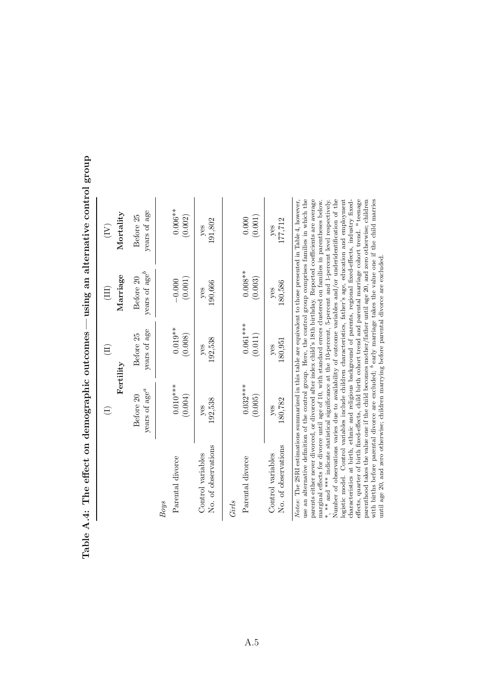| years of $\mathrm{age}^b$<br>$0.008**$<br>Marriage<br>(0.003)<br>Before 20<br>(0.001)<br>$-0.000$<br>180,586<br>190,666<br>yes<br>yes<br>$\left( \mathrm{III}\right)$<br>$0.061***$<br>$0.019**$<br>years of age<br>Before 25<br>(0.011)<br>(0.008)<br>192,538<br>180,951<br>yes<br>yes<br>$\left( \mathrm{I}\right)$<br>Fertility<br>$0.010***$<br>$0.032***$<br>years of $\mathrm{age}^a$<br>(0.004)<br>(0.005)<br>Before 20<br>180,782<br>192,538<br>yes<br>yes<br>$\ominus$<br>No. of observations<br>No. of observations<br>Control variables<br>Control variables<br>Parental divorce<br>Parental divorce<br>Girls<br><b>Boys</b> |  |  |                                      |
|-----------------------------------------------------------------------------------------------------------------------------------------------------------------------------------------------------------------------------------------------------------------------------------------------------------------------------------------------------------------------------------------------------------------------------------------------------------------------------------------------------------------------------------------------------------------------------------------------------------------------------------------|--|--|--------------------------------------|
|                                                                                                                                                                                                                                                                                                                                                                                                                                                                                                                                                                                                                                         |  |  | $\left(\overline{\mathrm{I}}\right)$ |
|                                                                                                                                                                                                                                                                                                                                                                                                                                                                                                                                                                                                                                         |  |  | Mortality                            |
|                                                                                                                                                                                                                                                                                                                                                                                                                                                                                                                                                                                                                                         |  |  | years of age<br>Before 25            |
|                                                                                                                                                                                                                                                                                                                                                                                                                                                                                                                                                                                                                                         |  |  |                                      |
|                                                                                                                                                                                                                                                                                                                                                                                                                                                                                                                                                                                                                                         |  |  | $0.006**$<br>(0.002)                 |
|                                                                                                                                                                                                                                                                                                                                                                                                                                                                                                                                                                                                                                         |  |  | yes                                  |
|                                                                                                                                                                                                                                                                                                                                                                                                                                                                                                                                                                                                                                         |  |  | 191,802                              |
|                                                                                                                                                                                                                                                                                                                                                                                                                                                                                                                                                                                                                                         |  |  |                                      |
|                                                                                                                                                                                                                                                                                                                                                                                                                                                                                                                                                                                                                                         |  |  | 0.000                                |
|                                                                                                                                                                                                                                                                                                                                                                                                                                                                                                                                                                                                                                         |  |  | (0.001)                              |
|                                                                                                                                                                                                                                                                                                                                                                                                                                                                                                                                                                                                                                         |  |  | yes                                  |
|                                                                                                                                                                                                                                                                                                                                                                                                                                                                                                                                                                                                                                         |  |  | 177,712                              |

Table A.4: The effect on demographic outcomes — using an alternative control group Table A.4: The effect on demographic outcomes — using an alternative control group

use an alternative definition of the control group. Here, the control group comprises families in which the parents either never divorced, or divorced after index child's 18th birthday. Reported coefficients are average \*, \*\*\* and \*\*\* indicate statistical significance at the 10-percent, 5-percent and 1-percent level respectively. Number of observations varies due to availability of outcome variables and/or underidentification of the logistic model. Control variables include children characteristics, father's age, education and employment parenthood takes the value one if the child becomes mother/father until age 20, and zero otherwise; children with births before parental divorce are excluded; because marriage takes the value one if the child marries marginal effects for divorce until age of 10, with standard errors clustered on families in parentheses below. use an alternative definition of the control group. Here, the control group comprises families in which the parents either never divorced, or divorced after index child's 18th birthday. Reported coefficients are average marginal effects for divorce until age of 10, with standard errors clustered on families in parentheses below. \*, \*\* and \*\*\* indicate statistical significance at the 10-percent, 5-percent and 1-percent level respectively. Number of observations varies due to availability of outcome variables and/or underidentification of the logistic model. Control variables include children characteristics, father's age, education and employment characteristics at birth, ethnic and religious background of parents, regional fixed-effects, industry fixeda teenage parenthood takes the value one if the child becomes mother/father until age 20, and zero otherwise; children early marriage takes the value one if the child marries effects, quarter of birth fixed-effects, child birth cohort trend and parental marriage cohort trend. until age 20, and zero otherwise; children marrying before parental divorce are excluded. until age 20, and zero otherwise; children marrying before parental divorce are excluded. with births before parental divorce are excluded;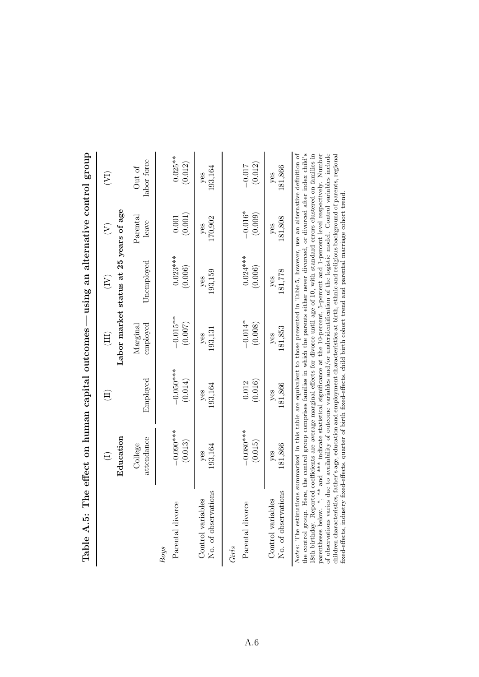| Table A.5: The effect on human capital outcomes — using an alternative control group                                                                                                                                                                                                 |                        |                        |                              |                                        |                      |                       |
|--------------------------------------------------------------------------------------------------------------------------------------------------------------------------------------------------------------------------------------------------------------------------------------|------------------------|------------------------|------------------------------|----------------------------------------|----------------------|-----------------------|
|                                                                                                                                                                                                                                                                                      |                        | $\Xi$                  |                              | $\widetilde{\Xi}$                      | E                    | $(\nabla)$            |
|                                                                                                                                                                                                                                                                                      | Education              |                        |                              | Labor market status at 25 years of age |                      |                       |
|                                                                                                                                                                                                                                                                                      | attendance<br>College  | Employed               | employed<br>${\rm Marginal}$ | Unemployed                             | Parental<br>leave    | labor force<br>Out of |
| <b>Boys</b>                                                                                                                                                                                                                                                                          |                        |                        |                              |                                        |                      |                       |
| Parental divorce                                                                                                                                                                                                                                                                     | $-0.090***$<br>(0.013) | $-0.050***$<br>(0.014) | $-0.015**$<br>(0.007)        | $0.023***$<br>(0.006)                  | (0.001)<br>0.001     | $0.025**$<br>(0.012)  |
| No. of observations<br>Control variables                                                                                                                                                                                                                                             | 193,164<br>yes         | 193,164<br>yes         | 193,131<br>yes               | 193,159<br>yes                         | 170,902<br>yes       | 193,164<br>yes        |
| Parental divorce<br>Girls                                                                                                                                                                                                                                                            | $-0.080***$<br>(0.015) | (0.016)<br>0.012       | $-0.014*$<br>(0.008)         | $0.024***$<br>(0.006)                  | $-0.016*$<br>(0.009) | (0.012)<br>$-0.017$   |
| No. of observations<br>Control variables                                                                                                                                                                                                                                             | 181,866<br>yes         | 181,866<br>yes         | 181,853<br>yes               | 181,778<br>yes                         | 181,808<br>yes       | 181,866<br>yes        |
| Notes: The estimations summarized in this table are equivalent to those presented in Table 5, however, use an alternative definition of<br>the control group. Here, the control group comprises families in which the parents either never divorced, or divorced after index child's |                        |                        |                              |                                        |                      |                       |

| l<br>١                                                       |
|--------------------------------------------------------------|
| l<br>í                                                       |
| .<br>د<br>ı<br>l                                             |
| Í                                                            |
| ֕                                                            |
| いりょう こうしょう<br>١<br>ļ<br>֞֘֝֬<br>ֺ֚<br>l<br>į                 |
| )<br>į<br>ı<br>l                                             |
| d<br>i<br>l<br>İ<br>Ó                                        |
| i<br>?<br>ļ<br>i<br> <br> <br> <br>֚֬                        |
| ֖֧ׅ֧֧֧֧֧֧֧֧֚֚֚֚֚֚֚֚֚֚֚֚֚֚֚֚֚֚֚֚֚֚֚֚֚֚֚֚֚֚֚֚֬֝֝֓֝֓֝֬֝֬֝֬֝֬֝֬֝ |
| $\frac{1}{2}$<br>J<br>$\overline{\phantom{a}}$               |
| i<br>l                                                       |
| I<br>$\vdots$                                                |
| $\frac{1}{2}$<br>l                                           |

18th birthday. Reported coefficients are average marginal effects for divorce until age of 10, with standard errors clustered on families in paratheses below. \*, \*\* and \*\*\* indicate statistical significance at the 10-perc the control group. Here, the control group comprises families in which the parents either never divorced, or divorced after index child's 18th birthday. Reported coefficients are average marginal effects for divorce until age of 10, with standard errors clustered on families in parentheses below. \*, \*\* and \*\*\* indicate statistical significance at the 10-percent, 5-percent and 1-percent level respectively. Number of observations varies due to availability of outcome variables and/or underidentification of the logistic model. Control variables include children characteristics, father's age, education and employment characteristics at birth, ethnic and religious background of parents, regional fixed-effects, industry fixed-effects, quarter of birth fixed-effects, child birth cohort trend and parental marriage cohort trend.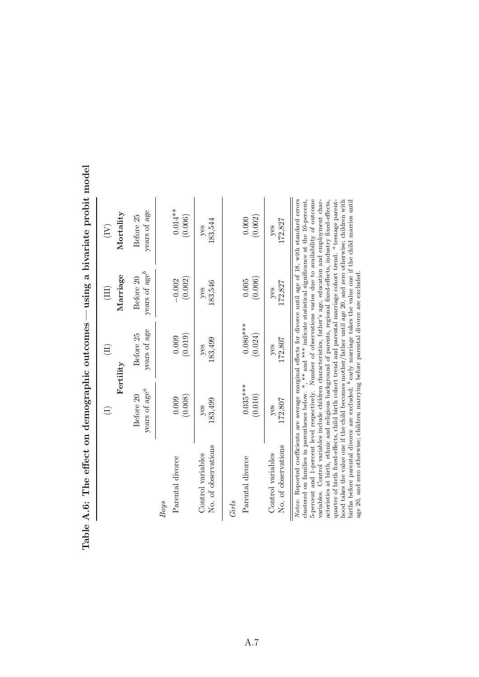| )<br>J<br>J<br>J<br>)<br> <br> <br>$\frac{1}{4}$                                                                                                                                                                                  | a comparation of the company of the company of the company of the company of the company of the company of the company of the company of the company of the company of the company of the company of the company of the compan |                                                   |                             | <b>The Sun Section Section</b>       |
|-----------------------------------------------------------------------------------------------------------------------------------------------------------------------------------------------------------------------------------|--------------------------------------------------------------------------------------------------------------------------------------------------------------------------------------------------------------------------------|---------------------------------------------------|-----------------------------|--------------------------------------|
|                                                                                                                                                                                                                                   |                                                                                                                                                                                                                                | $\widehat{\Xi}$                                   | $\left( \text{III} \right)$ | $\left(\overline{\mathbf{N}}\right)$ |
|                                                                                                                                                                                                                                   |                                                                                                                                                                                                                                | ${\rm Pertility}$                                 | Marriage                    | Mortality                            |
|                                                                                                                                                                                                                                   | years of age <sup>a</sup>                                                                                                                                                                                                      | years of age                                      | years of age <sup>b</sup>   | years of age                         |
|                                                                                                                                                                                                                                   | Before 20                                                                                                                                                                                                                      | Before 25                                         | Before 20                   | Before 25                            |
| Parental divorce                                                                                                                                                                                                                  | (0.008)                                                                                                                                                                                                                        | (0.019)                                           | (0.002)                     | $0.014**$                            |
| <b>Boys</b>                                                                                                                                                                                                                       | 0.009                                                                                                                                                                                                                          | 0.009                                             | $-0.002$                    | (0.006)                              |
| No. of observations                                                                                                                                                                                                               | 183,499                                                                                                                                                                                                                        | 183,499                                           | 183,546                     | 183,544                              |
| Control variables                                                                                                                                                                                                                 | yes                                                                                                                                                                                                                            | yes                                               | yes                         | yes                                  |
| Parental divorce                                                                                                                                                                                                                  | $0.035***$                                                                                                                                                                                                                     | $0.080***$                                        | (0.006)                     | (0.002)                              |
| Girls                                                                                                                                                                                                                             | (0.010)                                                                                                                                                                                                                        | (0.024)                                           | 0.005                       | 0.000                                |
| No. of observations                                                                                                                                                                                                               | 172,807                                                                                                                                                                                                                        | 172,807                                           | 172,827                     | 172,827                              |
| Control variables                                                                                                                                                                                                                 | yes                                                                                                                                                                                                                            | yes                                               | yes                         | yes                                  |
| Notes: Reported coefficients are average marginal effects for divorce until age of 18, with standard errors<br>clustered on families in parentheses below. $*, **$ and $***$ indicate statistical significance at the 10-percent, | $\overline{a}$<br>$\frac{1}{1}$                                                                                                                                                                                                | $\mathcal{L}$ and $\mathcal{L}$ and $\mathcal{L}$ |                             |                                      |

Table A.6: The effect on demographic outcomes — using a bivariate probit model Table A.6: The effect on demographic outcomes — using a bivariate probit model

5-percent and 1-percent level respectively. Number of observations varies due to availability of outcome variables. Control variables include children characteristics, father's age, education and employment char-5-percent and 1-percent level respectively. Number of observations varies due to availability of outcome variables. Control variables include children characteristics, father's age, education and employment characteristics at birth, ethnic and religious background of parents, regional fixed-effects, industry fixed-effects, teenage parenthood takes the value one if the child becomes mother/father until age 20, and zero otherwise; children with early marriage takes the value one if the child marries until aquarter of birth fixed-effects, child birth cohort trend and parental marriage cohort trend. age 20, and zero otherwise; children marrying before parental divorce are excluded. bbirths before parental divorce are excluded;